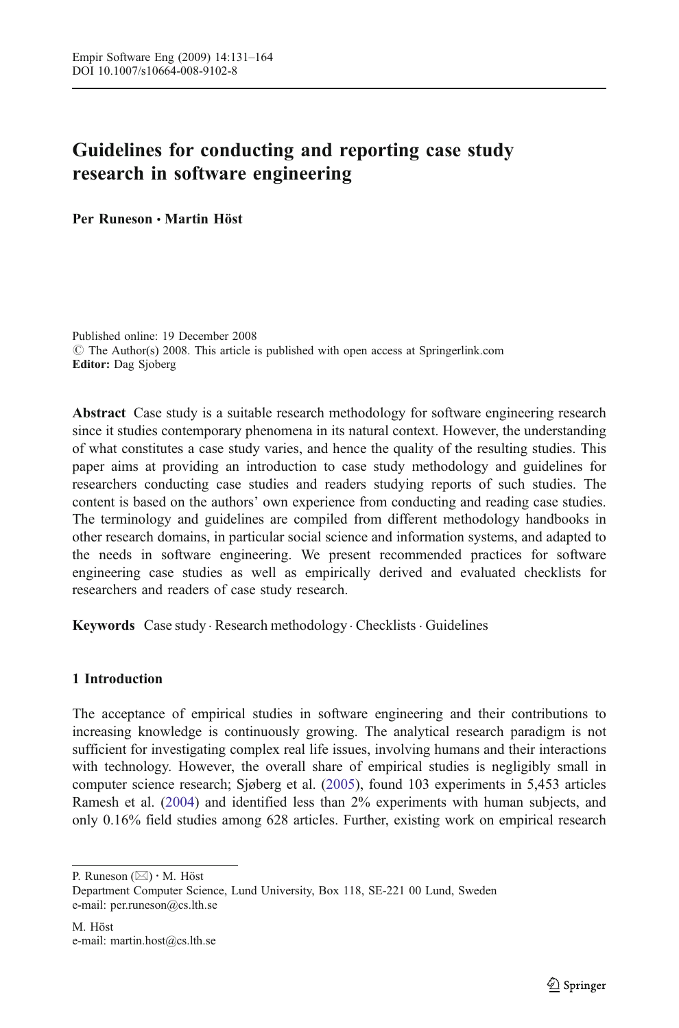# Guidelines for conducting and reporting case study research in software engineering

Per Runeson • Martin Höst

Published online: 19 December 2008  $\circ$  The Author(s) 2008. This article is published with open access at Springerlink.com Editor: Dag Sjoberg

Abstract Case study is a suitable research methodology for software engineering research since it studies contemporary phenomena in its natural context. However, the understanding of what constitutes a case study varies, and hence the quality of the resulting studies. This paper aims at providing an introduction to case study methodology and guidelines for researchers conducting case studies and readers studying reports of such studies. The content is based on the authors' own experience from conducting and reading case studies. The terminology and guidelines are compiled from different methodology handbooks in other research domains, in particular social science and information systems, and adapted to the needs in software engineering. We present recommended practices for software engineering case studies as well as empirically derived and evaluated checklists for researchers and readers of case study research.

Keywords Case study . Research methodology . Checklists . Guidelines

# 1 Introduction

The acceptance of empirical studies in software engineering and their contributions to increasing knowledge is continuously growing. The analytical research paradigm is not sufficient for investigating complex real life issues, involving humans and their interactions with technology. However, the overall share of empirical studies is negligibly small in computer science research; Sjøberg et al. [\(2005](#page-32-0)), found 103 experiments in 5,453 articles Ramesh et al. [\(2004\)](#page-32-0) and identified less than 2% experiments with human subjects, and only 0.16% field studies among 628 articles. Further, existing work on empirical research

P. Runeson (*\**) *:* M. Höst

Department Computer Science, Lund University, Box 118, SE-221 00 Lund, Sweden e-mail: per.runeson@cs.lth.se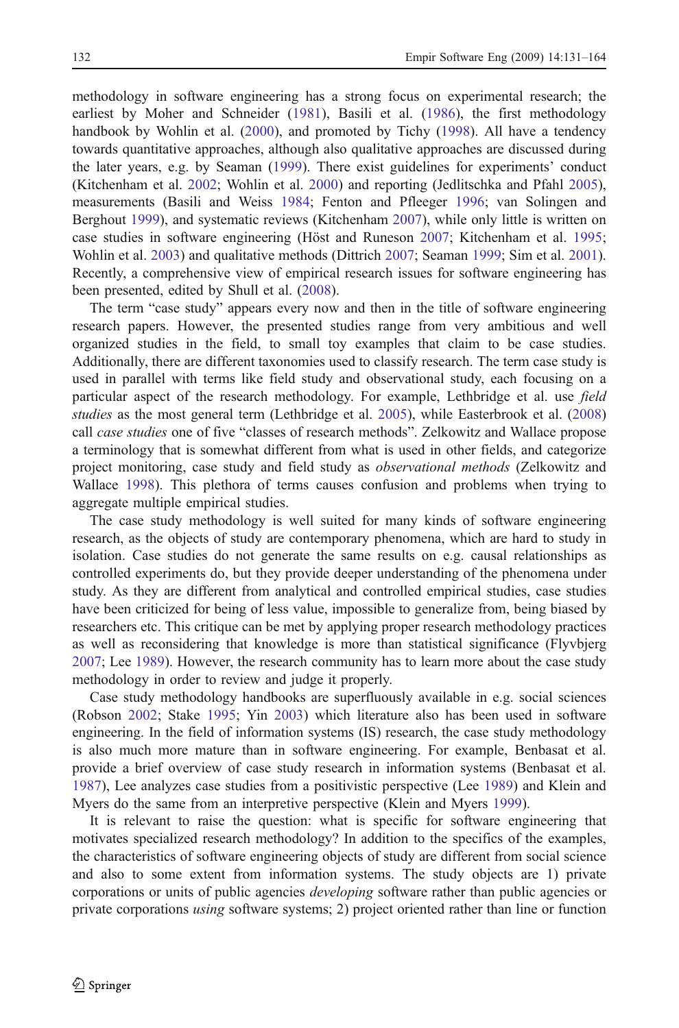methodology in software engineering has a strong focus on experimental research; the earliest by Moher and Schneider [\(1981](#page-32-0)), Basili et al. ([1986\)](#page-31-0), the first methodology handbook by Wohlin et al. ([2000\)](#page-32-0), and promoted by Tichy ([1998](#page-32-0)). All have a tendency towards quantitative approaches, although also qualitative approaches are discussed during the later years, e.g. by Seaman ([1999\)](#page-32-0). There exist guidelines for experiments' conduct (Kitchenham et al. [2002;](#page-31-0) Wohlin et al. [2000\)](#page-32-0) and reporting (Jedlitschka and Pfahl [2005](#page-31-0)), measurements (Basili and Weiss [1984;](#page-31-0) Fenton and Pfleeger [1996;](#page-31-0) van Solingen and Berghout [1999](#page-32-0)), and systematic reviews (Kitchenham [2007](#page-32-0)), while only little is written on case studies in software engineering (Höst and Runeson [2007;](#page-31-0) Kitchenham et al. [1995](#page-31-0); Wohlin et al. [2003\)](#page-33-0) and qualitative methods (Dittrich [2007](#page-31-0); Seaman [1999;](#page-32-0) Sim et al. [2001](#page-32-0)). Recently, a comprehensive view of empirical research issues for software engineering has been presented, edited by Shull et al. ([2008](#page-32-0)).

The term "case study" appears every now and then in the title of software engineering research papers. However, the presented studies range from very ambitious and well organized studies in the field, to small toy examples that claim to be case studies. Additionally, there are different taxonomies used to classify research. The term case study is used in parallel with terms like field study and observational study, each focusing on a particular aspect of the research methodology. For example, Lethbridge et al. use field studies as the most general term (Lethbridge et al. [2005\)](#page-32-0), while Easterbrook et al. ([2008\)](#page-31-0) call *case studies* one of five "classes of research methods". Zelkowitz and Wallace propose a terminology that is somewhat different from what is used in other fields, and categorize project monitoring, case study and field study as observational methods (Zelkowitz and Wallace [1998](#page-33-0)). This plethora of terms causes confusion and problems when trying to aggregate multiple empirical studies.

The case study methodology is well suited for many kinds of software engineering research, as the objects of study are contemporary phenomena, which are hard to study in isolation. Case studies do not generate the same results on e.g. causal relationships as controlled experiments do, but they provide deeper understanding of the phenomena under study. As they are different from analytical and controlled empirical studies, case studies have been criticized for being of less value, impossible to generalize from, being biased by researchers etc. This critique can be met by applying proper research methodology practices as well as reconsidering that knowledge is more than statistical significance (Flyvbjerg [2007;](#page-31-0) Lee [1989\)](#page-32-0). However, the research community has to learn more about the case study methodology in order to review and judge it properly.

Case study methodology handbooks are superfluously available in e.g. social sciences (Robson [2002;](#page-32-0) Stake [1995;](#page-32-0) Yin [2003\)](#page-33-0) which literature also has been used in software engineering. In the field of information systems (IS) research, the case study methodology is also much more mature than in software engineering. For example, Benbasat et al. provide a brief overview of case study research in information systems (Benbasat et al. [1987\)](#page-31-0), Lee analyzes case studies from a positivistic perspective (Lee [1989](#page-32-0)) and Klein and Myers do the same from an interpretive perspective (Klein and Myers [1999](#page-31-0)).

It is relevant to raise the question: what is specific for software engineering that motivates specialized research methodology? In addition to the specifics of the examples, the characteristics of software engineering objects of study are different from social science and also to some extent from information systems. The study objects are 1) private corporations or units of public agencies *developing* software rather than public agencies or private corporations using software systems; 2) project oriented rather than line or function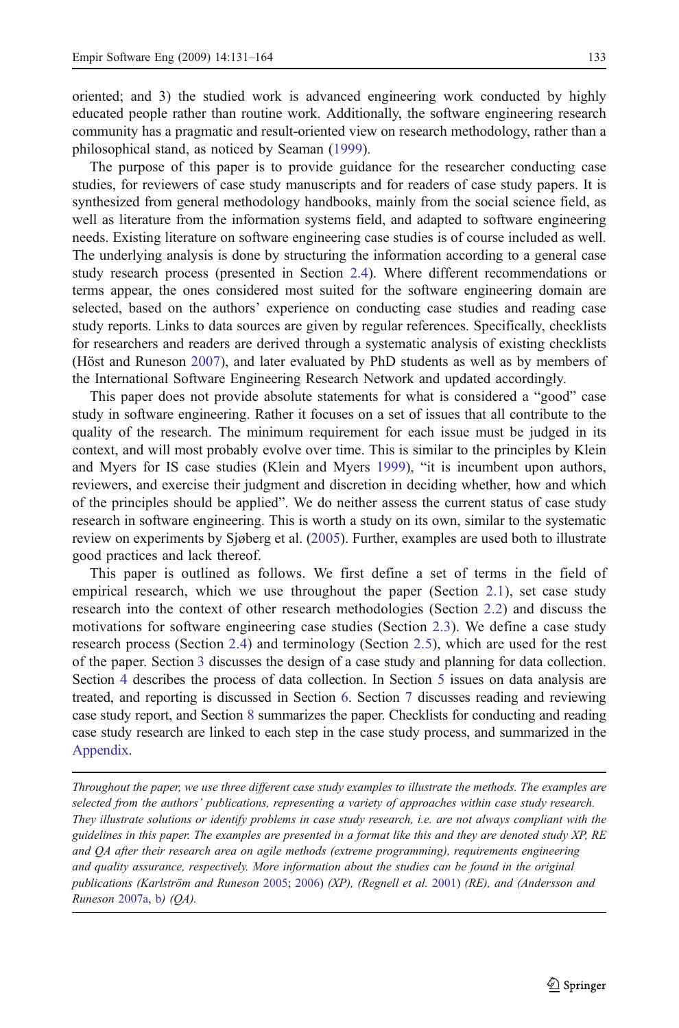oriented; and 3) the studied work is advanced engineering work conducted by highly educated people rather than routine work. Additionally, the software engineering research community has a pragmatic and result-oriented view on research methodology, rather than a philosophical stand, as noticed by Seaman ([1999\)](#page-32-0).

The purpose of this paper is to provide guidance for the researcher conducting case studies, for reviewers of case study manuscripts and for readers of case study papers. It is synthesized from general methodology handbooks, mainly from the social science field, as well as literature from the information systems field, and adapted to software engineering needs. Existing literature on software engineering case studies is of course included as well. The underlying analysis is done by structuring the information according to a general case study research process (presented in Section [2.4\)](#page-6-0). Where different recommendations or terms appear, the ones considered most suited for the software engineering domain are selected, based on the authors' experience on conducting case studies and reading case study reports. Links to data sources are given by regular references. Specifically, checklists for researchers and readers are derived through a systematic analysis of existing checklists (Höst and Runeson [2007\)](#page-31-0), and later evaluated by PhD students as well as by members of the International Software Engineering Research Network and updated accordingly.

This paper does not provide absolute statements for what is considered a "good" case study in software engineering. Rather it focuses on a set of issues that all contribute to the quality of the research. The minimum requirement for each issue must be judged in its context, and will most probably evolve over time. This is similar to the principles by Klein and Myers for IS case studies (Klein and Myers [1999\)](#page-31-0), "it is incumbent upon authors, reviewers, and exercise their judgment and discretion in deciding whether, how and which of the principles should be applied". We do neither assess the current status of case study research in software engineering. This is worth a study on its own, similar to the systematic review on experiments by Sjøberg et al. [\(2005](#page-32-0)). Further, examples are used both to illustrate good practices and lack thereof.

This paper is outlined as follows. We first define a set of terms in the field of empirical research, which we use throughout the paper (Section [2.1\)](#page-3-0), set case study research into the context of other research methodologies (Section [2.2](#page-4-0)) and discuss the motivations for software engineering case studies (Section [2.3](#page-6-0)). We define a case study research process (Section [2.4](#page-6-0)) and terminology (Section [2.5\)](#page-7-0), which are used for the rest of the paper. Section [3](#page-7-0) discusses the design of a case study and planning for data collection. Section [4](#page-13-0) describes the process of data collection. In Section [5](#page-19-0) issues on data analysis are treated, and reporting is discussed in Section [6.](#page-23-0) Section [7](#page-27-0) discusses reading and reviewing case study report, and Section [8](#page-28-0) summarizes the paper. Checklists for conducting and reading case study research are linked to each step in the case study process, and summarized in the [Appendix](#page-29-0).

Throughout the paper, we use three different case study examples to illustrate the methods. The examples are selected from the authors' publications, representing a variety of approaches within case study research. They illustrate solutions or identify problems in case study research, i.e. are not always compliant with the guidelines in this paper. The examples are presented in a format like this and they are denoted study XP, RE and QA after their research area on agile methods (extreme programming), requirements engineering and quality assurance, respectively. More information about the studies can be found in the original publications (Karlström and Runeson [2005](#page-31-0); [2006](#page-31-0)) (XP), (Regnell et al. [2001\)](#page-32-0) (RE), and (Andersson and Runeson [2007a,](#page-30-0) [b](#page-31-0)) (QA).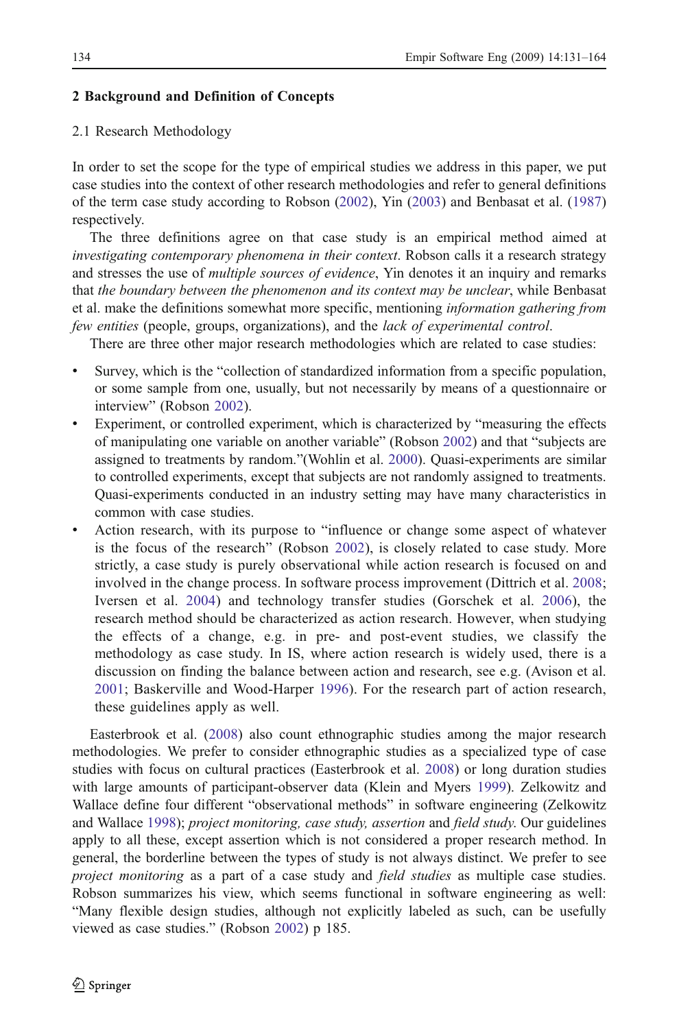## <span id="page-3-0"></span>2 Background and Definition of Concepts

### 2.1 Research Methodology

In order to set the scope for the type of empirical studies we address in this paper, we put case studies into the context of other research methodologies and refer to general definitions of the term case study according to Robson ([2002\)](#page-32-0), Yin ([2003\)](#page-33-0) and Benbasat et al. ([1987\)](#page-31-0) respectively.

The three definitions agree on that case study is an empirical method aimed at investigating contemporary phenomena in their context. Robson calls it a research strategy and stresses the use of *multiple sources of evidence*, Yin denotes it an inquiry and remarks that the boundary between the phenomenon and its context may be unclear, while Benbasat et al. make the definitions somewhat more specific, mentioning *information gathering from* few entities (people, groups, organizations), and the lack of experimental control.

There are three other major research methodologies which are related to case studies:

- & Survey, which is the "collection of standardized information from a specific population, or some sample from one, usually, but not necessarily by means of a questionnaire or interview" (Robson [2002\)](#page-32-0).
- Experiment, or controlled experiment, which is characterized by "measuring the effects of manipulating one variable on another variable" (Robson [2002\)](#page-32-0) and that "subjects are assigned to treatments by random."(Wohlin et al. [2000](#page-32-0)). Quasi-experiments are similar to controlled experiments, except that subjects are not randomly assigned to treatments. Quasi-experiments conducted in an industry setting may have many characteristics in common with case studies.
- & Action research, with its purpose to "influence or change some aspect of whatever is the focus of the research" (Robson [2002](#page-32-0)), is closely related to case study. More strictly, a case study is purely observational while action research is focused on and involved in the change process. In software process improvement (Dittrich et al. [2008](#page-31-0); Iversen et al. [2004\)](#page-31-0) and technology transfer studies (Gorschek et al. [2006](#page-31-0)), the research method should be characterized as action research. However, when studying the effects of a change, e.g. in pre- and post-event studies, we classify the methodology as case study. In IS, where action research is widely used, there is a discussion on finding the balance between action and research, see e.g. (Avison et al. [2001;](#page-31-0) Baskerville and Wood-Harper [1996\)](#page-31-0). For the research part of action research, these guidelines apply as well.

Easterbrook et al. [\(2008](#page-31-0)) also count ethnographic studies among the major research methodologies. We prefer to consider ethnographic studies as a specialized type of case studies with focus on cultural practices (Easterbrook et al. [2008](#page-31-0)) or long duration studies with large amounts of participant-observer data (Klein and Myers [1999\)](#page-31-0). Zelkowitz and Wallace define four different "observational methods" in software engineering (Zelkowitz and Wallace [1998](#page-33-0)); project monitoring, case study, assertion and field study. Our guidelines apply to all these, except assertion which is not considered a proper research method. In general, the borderline between the types of study is not always distinct. We prefer to see project monitoring as a part of a case study and *field studies* as multiple case studies. Robson summarizes his view, which seems functional in software engineering as well: "Many flexible design studies, although not explicitly labeled as such, can be usefully viewed as case studies." (Robson [2002\)](#page-32-0) p 185.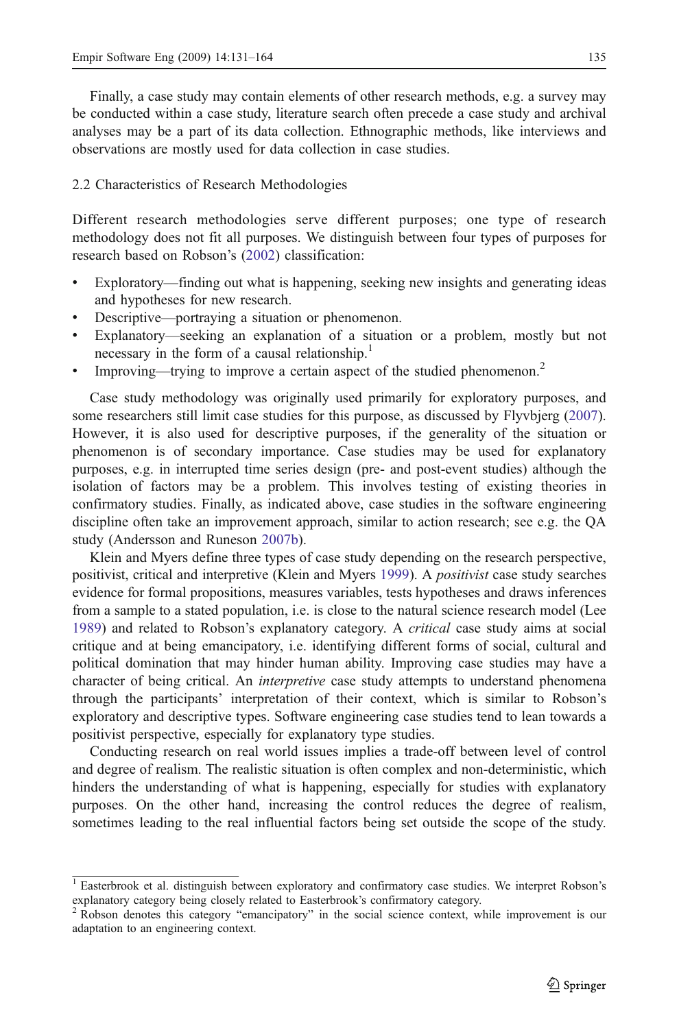<span id="page-4-0"></span>Finally, a case study may contain elements of other research methods, e.g. a survey may be conducted within a case study, literature search often precede a case study and archival analyses may be a part of its data collection. Ethnographic methods, like interviews and observations are mostly used for data collection in case studies.

# 2.2 Characteristics of Research Methodologies

Different research methodologies serve different purposes; one type of research methodology does not fit all purposes. We distinguish between four types of purposes for research based on Robson's [\(2002](#page-32-0)) classification:

- & Exploratory—finding out what is happening, seeking new insights and generating ideas and hypotheses for new research.
- Descriptive—portraying a situation or phenomenon.
- Explanatory—seeking an explanation of a situation or a problem, mostly but not necessary in the form of a causal relationship. $<sup>1</sup>$ </sup>
- Improving—trying to improve a certain aspect of the studied phenomenon.<sup>2</sup>

Case study methodology was originally used primarily for exploratory purposes, and some researchers still limit case studies for this purpose, as discussed by Flyvbjerg [\(2007](#page-31-0)). However, it is also used for descriptive purposes, if the generality of the situation or phenomenon is of secondary importance. Case studies may be used for explanatory purposes, e.g. in interrupted time series design (pre- and post-event studies) although the isolation of factors may be a problem. This involves testing of existing theories in confirmatory studies. Finally, as indicated above, case studies in the software engineering discipline often take an improvement approach, similar to action research; see e.g. the QA study (Andersson and Runeson [2007b](#page-31-0)).

Klein and Myers define three types of case study depending on the research perspective, positivist, critical and interpretive (Klein and Myers [1999](#page-31-0)). A positivist case study searches evidence for formal propositions, measures variables, tests hypotheses and draws inferences from a sample to a stated population, i.e. is close to the natural science research model (Lee [1989\)](#page-32-0) and related to Robson's explanatory category. A critical case study aims at social critique and at being emancipatory, i.e. identifying different forms of social, cultural and political domination that may hinder human ability. Improving case studies may have a character of being critical. An *interpretive* case study attempts to understand phenomena through the participants' interpretation of their context, which is similar to Robson's exploratory and descriptive types. Software engineering case studies tend to lean towards a positivist perspective, especially for explanatory type studies.

Conducting research on real world issues implies a trade-off between level of control and degree of realism. The realistic situation is often complex and non-deterministic, which hinders the understanding of what is happening, especially for studies with explanatory purposes. On the other hand, increasing the control reduces the degree of realism, sometimes leading to the real influential factors being set outside the scope of the study.

<sup>&</sup>lt;sup>1</sup> Easterbrook et al. distinguish between exploratory and confirmatory case studies. We interpret Robson's explanatory category being closely related to Easterbrook's confirmatory category.<br><sup>2</sup> Robson denotes this category "emancipatory" in the social science context, while improvement is our

adaptation to an engineering context.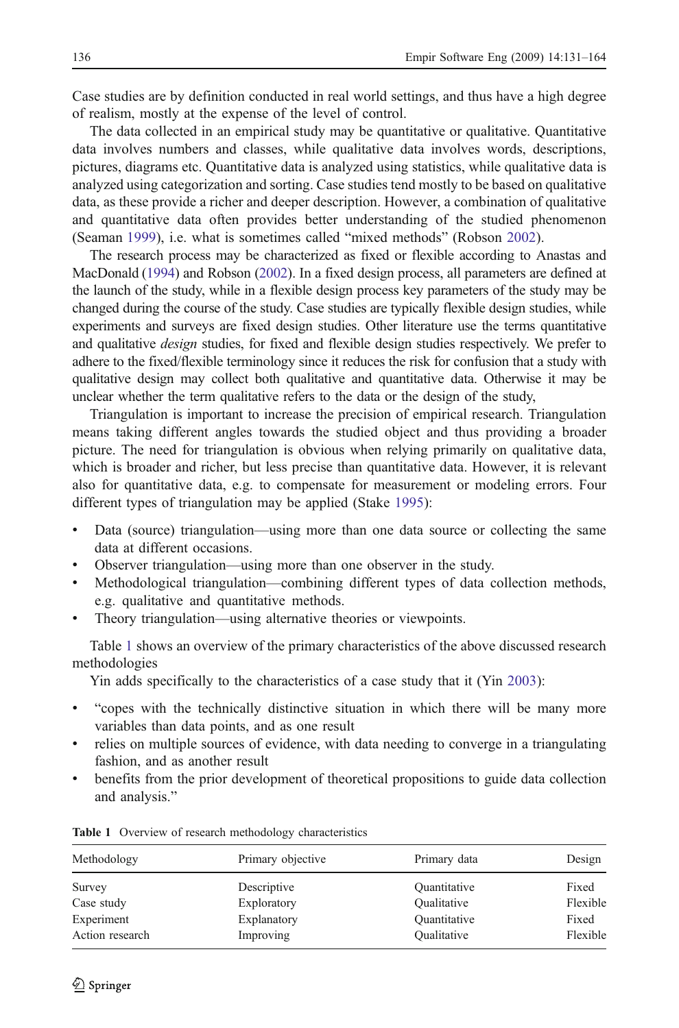Case studies are by definition conducted in real world settings, and thus have a high degree of realism, mostly at the expense of the level of control.

The data collected in an empirical study may be quantitative or qualitative. Quantitative data involves numbers and classes, while qualitative data involves words, descriptions, pictures, diagrams etc. Quantitative data is analyzed using statistics, while qualitative data is analyzed using categorization and sorting. Case studies tend mostly to be based on qualitative data, as these provide a richer and deeper description. However, a combination of qualitative and quantitative data often provides better understanding of the studied phenomenon (Seaman [1999](#page-32-0)), i.e. what is sometimes called "mixed methods" (Robson [2002](#page-32-0)).

The research process may be characterized as fixed or flexible according to Anastas and MacDonald ([1994](#page-30-0)) and Robson ([2002](#page-32-0)). In a fixed design process, all parameters are defined at the launch of the study, while in a flexible design process key parameters of the study may be changed during the course of the study. Case studies are typically flexible design studies, while experiments and surveys are fixed design studies. Other literature use the terms quantitative and qualitative *design* studies, for fixed and flexible design studies respectively. We prefer to adhere to the fixed/flexible terminology since it reduces the risk for confusion that a study with qualitative design may collect both qualitative and quantitative data. Otherwise it may be unclear whether the term qualitative refers to the data or the design of the study,

Triangulation is important to increase the precision of empirical research. Triangulation means taking different angles towards the studied object and thus providing a broader picture. The need for triangulation is obvious when relying primarily on qualitative data, which is broader and richer, but less precise than quantitative data. However, it is relevant also for quantitative data, e.g. to compensate for measurement or modeling errors. Four different types of triangulation may be applied (Stake [1995](#page-32-0)):

- & Data (source) triangulation—using more than one data source or collecting the same data at different occasions.
- Observer triangulation—using more than one observer in the study.
- & Methodological triangulation—combining different types of data collection methods, e.g. qualitative and quantitative methods.
- Theory triangulation—using alternative theories or viewpoints.

Table 1 shows an overview of the primary characteristics of the above discussed research methodologies

Yin adds specifically to the characteristics of a case study that it (Yin [2003\)](#page-33-0):

- & "copes with the technically distinctive situation in which there will be many more variables than data points, and as one result
- & relies on multiple sources of evidence, with data needing to converge in a triangulating fashion, and as another result
- benefits from the prior development of theoretical propositions to guide data collection and analysis."

| Methodology     | Primary objective | Primary data       | Design   |
|-----------------|-------------------|--------------------|----------|
| Survey          | Descriptive       | Quantitative       | Fixed    |
| Case study      | Exploratory       | <b>Oualitative</b> | Flexible |
| Experiment      | Explanatory       | Quantitative       | Fixed    |
| Action research | Improving         | <b>Oualitative</b> | Flexible |

Table 1 Overview of research methodology characteristics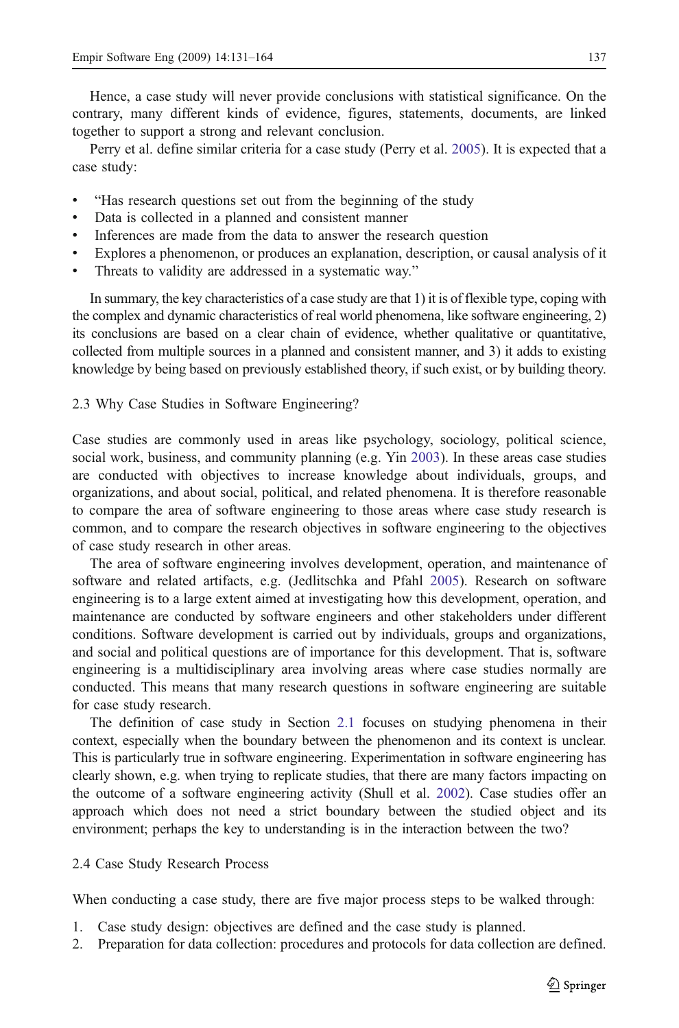<span id="page-6-0"></span>Hence, a case study will never provide conclusions with statistical significance. On the contrary, many different kinds of evidence, figures, statements, documents, are linked together to support a strong and relevant conclusion.

Perry et al. define similar criteria for a case study (Perry et al. [2005](#page-32-0)). It is expected that a case study:

- & "Has research questions set out from the beginning of the study
- & Data is collected in a planned and consistent manner
- & Inferences are made from the data to answer the research question
- Explores a phenomenon, or produces an explanation, description, or causal analysis of it
- & Threats to validity are addressed in a systematic way."

In summary, the key characteristics of a case study are that 1) it is of flexible type, coping with the complex and dynamic characteristics of real world phenomena, like software engineering, 2) its conclusions are based on a clear chain of evidence, whether qualitative or quantitative, collected from multiple sources in a planned and consistent manner, and 3) it adds to existing knowledge by being based on previously established theory, if such exist, or by building theory.

# 2.3 Why Case Studies in Software Engineering?

Case studies are commonly used in areas like psychology, sociology, political science, social work, business, and community planning (e.g. Yin [2003](#page-33-0)). In these areas case studies are conducted with objectives to increase knowledge about individuals, groups, and organizations, and about social, political, and related phenomena. It is therefore reasonable to compare the area of software engineering to those areas where case study research is common, and to compare the research objectives in software engineering to the objectives of case study research in other areas.

The area of software engineering involves development, operation, and maintenance of software and related artifacts, e.g. (Jedlitschka and Pfahl [2005](#page-31-0)). Research on software engineering is to a large extent aimed at investigating how this development, operation, and maintenance are conducted by software engineers and other stakeholders under different conditions. Software development is carried out by individuals, groups and organizations, and social and political questions are of importance for this development. That is, software engineering is a multidisciplinary area involving areas where case studies normally are conducted. This means that many research questions in software engineering are suitable for case study research.

The definition of case study in Section [2.1](#page-3-0) focuses on studying phenomena in their context, especially when the boundary between the phenomenon and its context is unclear. This is particularly true in software engineering. Experimentation in software engineering has clearly shown, e.g. when trying to replicate studies, that there are many factors impacting on the outcome of a software engineering activity (Shull et al. [2002](#page-32-0)). Case studies offer an approach which does not need a strict boundary between the studied object and its environment; perhaps the key to understanding is in the interaction between the two?

#### 2.4 Case Study Research Process

When conducting a case study, there are five major process steps to be walked through:

- 1. Case study design: objectives are defined and the case study is planned.
- 2. Preparation for data collection: procedures and protocols for data collection are defined.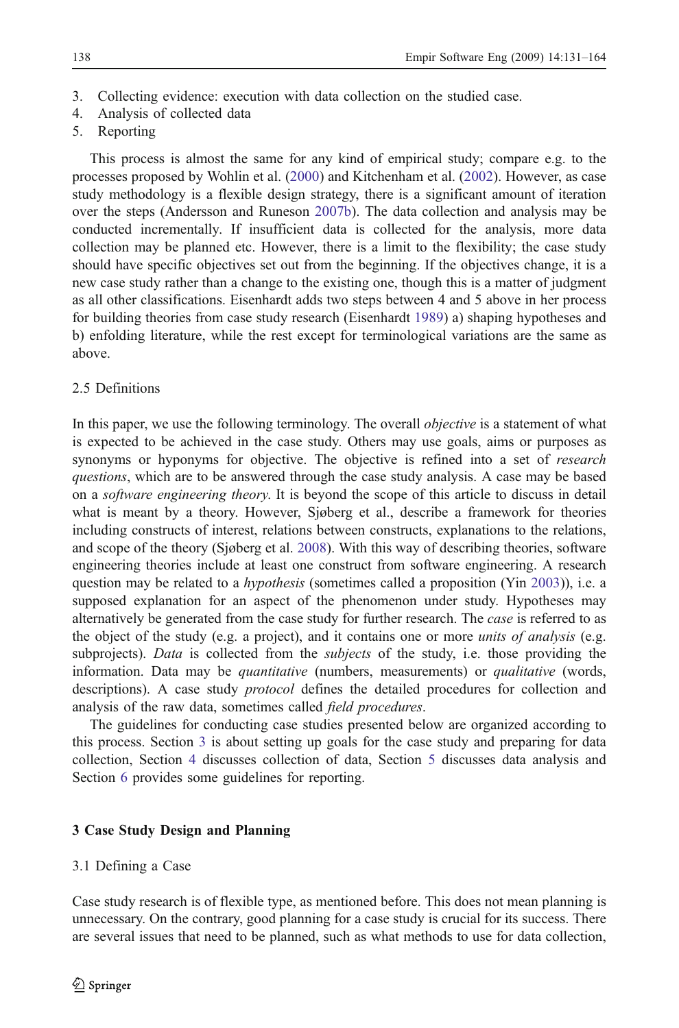- <span id="page-7-0"></span>3. Collecting evidence: execution with data collection on the studied case.
- 4. Analysis of collected data
- 5. Reporting

This process is almost the same for any kind of empirical study; compare e.g. to the processes proposed by Wohlin et al. ([2000\)](#page-33-0) and Kitchenham et al. [\(2002](#page-31-0)). However, as case study methodology is a flexible design strategy, there is a significant amount of iteration over the steps (Andersson and Runeson [2007b\)](#page-31-0). The data collection and analysis may be conducted incrementally. If insufficient data is collected for the analysis, more data collection may be planned etc. However, there is a limit to the flexibility; the case study should have specific objectives set out from the beginning. If the objectives change, it is a new case study rather than a change to the existing one, though this is a matter of judgment as all other classifications. Eisenhardt adds two steps between 4 and 5 above in her process for building theories from case study research (Eisenhardt [1989](#page-31-0)) a) shaping hypotheses and b) enfolding literature, while the rest except for terminological variations are the same as above.

#### 2.5 Definitions

In this paper, we use the following terminology. The overall *objective* is a statement of what is expected to be achieved in the case study. Others may use goals, aims or purposes as synonyms or hyponyms for objective. The objective is refined into a set of *research* questions, which are to be answered through the case study analysis. A case may be based on a *software engineering theory*. It is beyond the scope of this article to discuss in detail what is meant by a theory. However, Sjøberg et al., describe a framework for theories including constructs of interest, relations between constructs, explanations to the relations, and scope of the theory (Sjøberg et al. [2008](#page-32-0)). With this way of describing theories, software engineering theories include at least one construct from software engineering. A research question may be related to a *hypothesis* (sometimes called a proposition (Yin [2003\)](#page-33-0)), i.e. a supposed explanation for an aspect of the phenomenon under study. Hypotheses may alternatively be generated from the case study for further research. The *case* is referred to as the object of the study (e.g. a project), and it contains one or more *units of analysis* (e.g. subprojects). Data is collected from the *subjects* of the study, i.e. those providing the information. Data may be quantitative (numbers, measurements) or qualitative (words, descriptions). A case study protocol defines the detailed procedures for collection and analysis of the raw data, sometimes called field procedures.

The guidelines for conducting case studies presented below are organized according to this process. Section 3 is about setting up goals for the case study and preparing for data collection, Section [4](#page-13-0) discusses collection of data, Section [5](#page-19-0) discusses data analysis and Section [6](#page-23-0) provides some guidelines for reporting.

#### 3 Case Study Design and Planning

#### 3.1 Defining a Case

Case study research is of flexible type, as mentioned before. This does not mean planning is unnecessary. On the contrary, good planning for a case study is crucial for its success. There are several issues that need to be planned, such as what methods to use for data collection,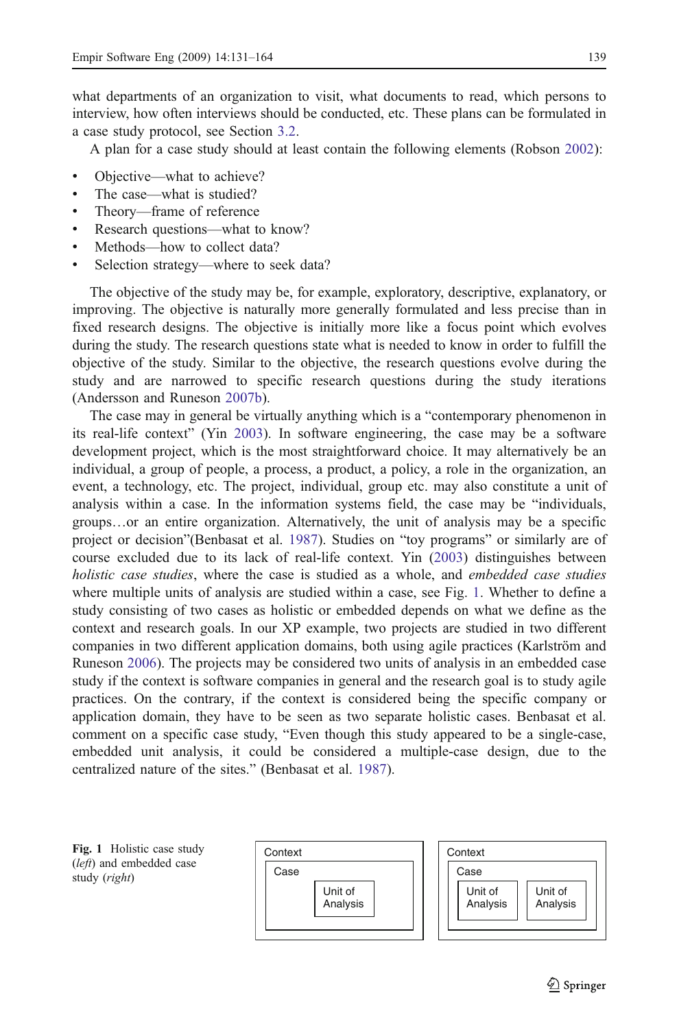<span id="page-8-0"></span>what departments of an organization to visit, what documents to read, which persons to interview, how often interviews should be conducted, etc. These plans can be formulated in a case study protocol, see Section [3.2.](#page-10-0)

A plan for a case study should at least contain the following elements (Robson [2002\)](#page-32-0):

- Objective—what to achieve?
- The case—what is studied?
- Theory—frame of reference
- Research questions—what to know?
- Methods—how to collect data?
- Selection strategy—where to seek data?

The objective of the study may be, for example, exploratory, descriptive, explanatory, or improving. The objective is naturally more generally formulated and less precise than in fixed research designs. The objective is initially more like a focus point which evolves during the study. The research questions state what is needed to know in order to fulfill the objective of the study. Similar to the objective, the research questions evolve during the study and are narrowed to specific research questions during the study iterations (Andersson and Runeson [2007b\)](#page-31-0).

The case may in general be virtually anything which is a "contemporary phenomenon in its real-life context" (Yin [2003](#page-33-0)). In software engineering, the case may be a software development project, which is the most straightforward choice. It may alternatively be an individual, a group of people, a process, a product, a policy, a role in the organization, an event, a technology, etc. The project, individual, group etc. may also constitute a unit of analysis within a case. In the information systems field, the case may be "individuals, groups…or an entire organization. Alternatively, the unit of analysis may be a specific project or decision"(Benbasat et al. [1987\)](#page-31-0). Studies on "toy programs" or similarly are of course excluded due to its lack of real-life context. Yin [\(2003\)](#page-33-0) distinguishes between holistic case studies, where the case is studied as a whole, and embedded case studies where multiple units of analysis are studied within a case, see Fig. 1. Whether to define a study consisting of two cases as holistic or embedded depends on what we define as the context and research goals. In our XP example, two projects are studied in two different companies in two different application domains, both using agile practices (Karlström and Runeson [2006](#page-31-0)). The projects may be considered two units of analysis in an embedded case study if the context is software companies in general and the research goal is to study agile practices. On the contrary, if the context is considered being the specific company or application domain, they have to be seen as two separate holistic cases. Benbasat et al. comment on a specific case study, "Even though this study appeared to be a single-case, embedded unit analysis, it could be considered a multiple-case design, due to the centralized nature of the sites." (Benbasat et al. [1987](#page-31-0)).

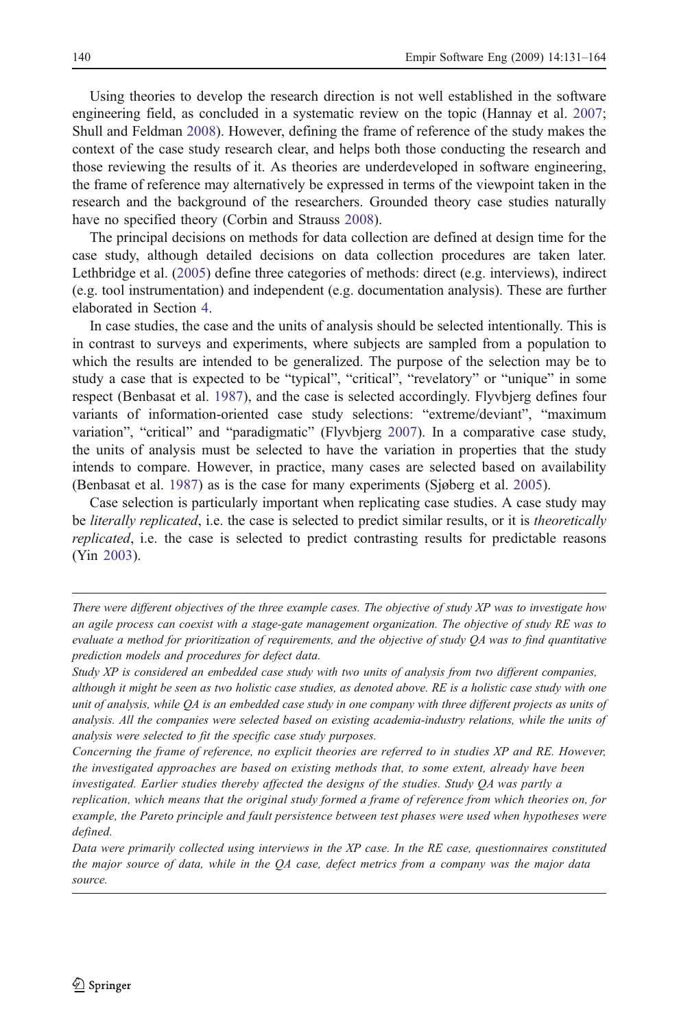Using theories to develop the research direction is not well established in the software engineering field, as concluded in a systematic review on the topic (Hannay et al. [2007](#page-31-0); Shull and Feldman [2008\)](#page-32-0). However, defining the frame of reference of the study makes the context of the case study research clear, and helps both those conducting the research and those reviewing the results of it. As theories are underdeveloped in software engineering, the frame of reference may alternatively be expressed in terms of the viewpoint taken in the research and the background of the researchers. Grounded theory case studies naturally have no specified theory (Corbin and Strauss [2008](#page-31-0)).

The principal decisions on methods for data collection are defined at design time for the case study, although detailed decisions on data collection procedures are taken later. Lethbridge et al. ([2005](#page-32-0)) define three categories of methods: direct (e.g. interviews), indirect (e.g. tool instrumentation) and independent (e.g. documentation analysis). These are further elaborated in Section [4](#page-13-0).

In case studies, the case and the units of analysis should be selected intentionally. This is in contrast to surveys and experiments, where subjects are sampled from a population to which the results are intended to be generalized. The purpose of the selection may be to study a case that is expected to be "typical", "critical", "revelatory" or "unique" in some respect (Benbasat et al. [1987](#page-31-0)), and the case is selected accordingly. Flyvbjerg defines four variants of information-oriented case study selections: "extreme/deviant", "maximum variation", "critical" and "paradigmatic" (Flyvbjerg [2007](#page-31-0)). In a comparative case study, the units of analysis must be selected to have the variation in properties that the study intends to compare. However, in practice, many cases are selected based on availability (Benbasat et al. [1987](#page-31-0)) as is the case for many experiments (Sjøberg et al. [2005](#page-32-0)).

Case selection is particularly important when replicating case studies. A case study may be *literally replicated*, i.e. the case is selected to predict similar results, or it is *theoretically* replicated, i.e. the case is selected to predict contrasting results for predictable reasons (Yin [2003\)](#page-33-0).

There were different objectives of the three example cases. The objective of study XP was to investigate how an agile process can coexist with a stage-gate management organization. The objective of study RE was to evaluate a method for prioritization of requirements, and the objective of study QA was to find quantitative prediction models and procedures for defect data.

Study XP is considered an embedded case study with two units of analysis from two different companies, although it might be seen as two holistic case studies, as denoted above. RE is a holistic case study with one unit of analysis, while QA is an embedded case study in one company with three different projects as units of analysis. All the companies were selected based on existing academia-industry relations, while the units of analysis were selected to fit the specific case study purposes.

Concerning the frame of reference, no explicit theories are referred to in studies XP and RE. However, the investigated approaches are based on existing methods that, to some extent, already have been investigated. Earlier studies thereby affected the designs of the studies. Study QA was partly a

replication, which means that the original study formed a frame of reference from which theories on, for example, the Pareto principle and fault persistence between test phases were used when hypotheses were defined.

Data were primarily collected using interviews in the XP case. In the RE case, questionnaires constituted the major source of data, while in the QA case, defect metrics from a company was the major data source.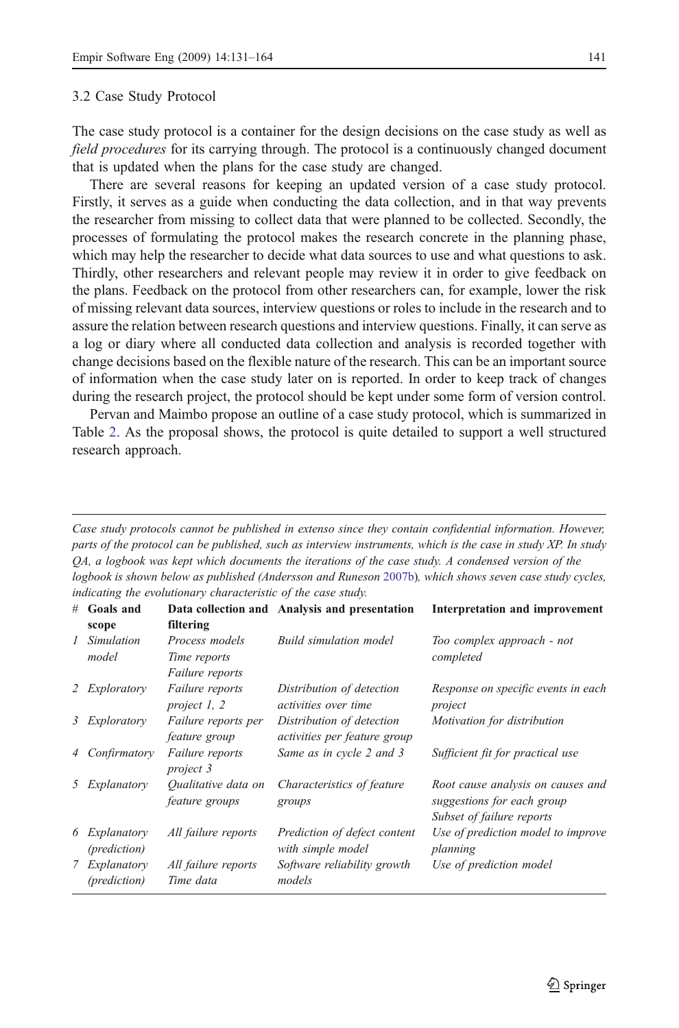#### <span id="page-10-0"></span>3.2 Case Study Protocol

The case study protocol is a container for the design decisions on the case study as well as field procedures for its carrying through. The protocol is a continuously changed document that is updated when the plans for the case study are changed.

There are several reasons for keeping an updated version of a case study protocol. Firstly, it serves as a guide when conducting the data collection, and in that way prevents the researcher from missing to collect data that were planned to be collected. Secondly, the processes of formulating the protocol makes the research concrete in the planning phase, which may help the researcher to decide what data sources to use and what questions to ask. Thirdly, other researchers and relevant people may review it in order to give feedback on the plans. Feedback on the protocol from other researchers can, for example, lower the risk of missing relevant data sources, interview questions or roles to include in the research and to assure the relation between research questions and interview questions. Finally, it can serve as a log or diary where all conducted data collection and analysis is recorded together with change decisions based on the flexible nature of the research. This can be an important source of information when the case study later on is reported. In order to keep track of changes during the research project, the protocol should be kept under some form of version control.

Pervan and Maimbo propose an outline of a case study protocol, which is summarized in Table [2](#page-11-0). As the proposal shows, the protocol is quite detailed to support a well structured research approach.

Case study protocols cannot be published in extenso since they contain confidential information. However, parts of the protocol can be published, such as interview instruments, which is the case in study XP. In study QA, a logbook was kept which documents the iterations of the case study. A condensed version of the logbook is shown below as published (Andersson and Runeson [2007b](#page-31-0)), which shows seven case study cycles, indicating the evolutionary characteristic of the case study.

| #             | Goals and           |                        | Data collection and Analysis and presentation | Interpretation and improvement      |
|---------------|---------------------|------------------------|-----------------------------------------------|-------------------------------------|
|               | scope               | filtering              |                                               |                                     |
| $\mathcal{I}$ | Simulation          | Process models         | Build simulation model                        | Too complex approach - not          |
|               | model               | Time reports           |                                               | completed                           |
|               |                     | Failure reports        |                                               |                                     |
|               | 2 Exploratory       | Failure reports        | Distribution of detection                     | Response on specific events in each |
|               |                     | project 1, 2           | activities over time                          | project                             |
|               | 3 Exploratory       | Failure reports per    | Distribution of detection                     | Motivation for distribution         |
|               |                     | feature group          | activities per feature group                  |                                     |
|               | 4 Confirmatory      | <i>Failure reports</i> | Same as in cycle 2 and 3                      | Sufficient fit for practical use    |
|               |                     | project 3              |                                               |                                     |
|               | 5 Explanatory       | Qualitative data on    | Characteristics of feature                    | Root cause analysis on causes and   |
|               |                     | <i>feature groups</i>  | groups                                        | suggestions for each group          |
|               |                     |                        |                                               | Subset of failure reports           |
|               | 6 Explanatory       | All failure reports    | Prediction of defect content                  | Use of prediction model to improve  |
|               | <i>(prediction)</i> |                        | with simple model                             | planning                            |
|               | 7 Explanatory       | All failure reports    | Software reliability growth                   | Use of prediction model             |
|               | (prediction)        | Time data              | models                                        |                                     |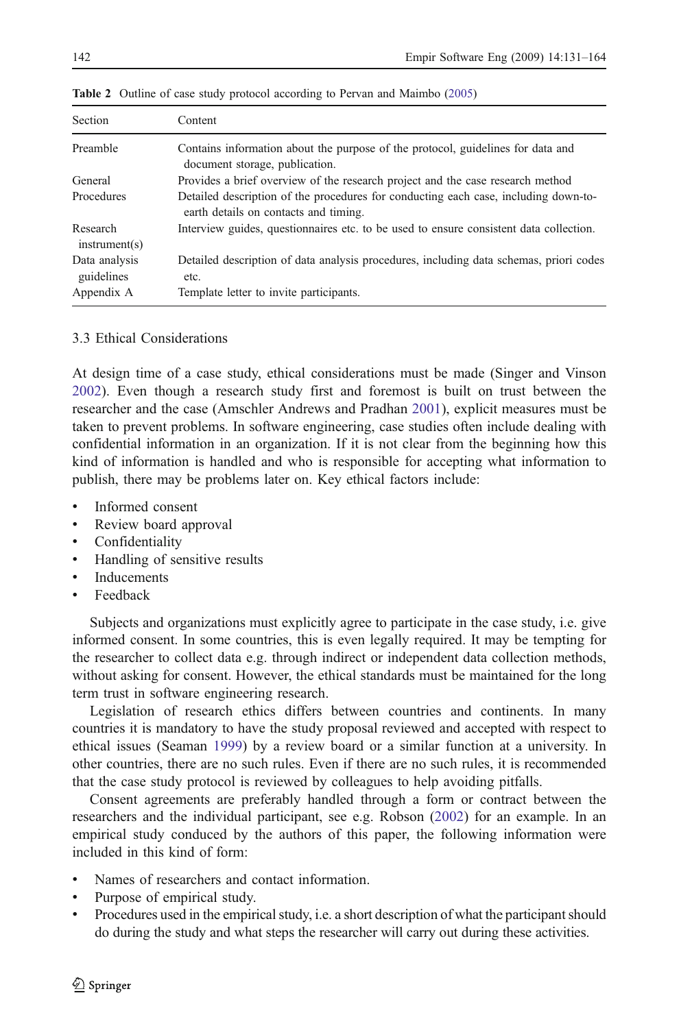| Section                     | Content                                                                                                                      |
|-----------------------------|------------------------------------------------------------------------------------------------------------------------------|
| Preamble                    | Contains information about the purpose of the protocol, guidelines for data and<br>document storage, publication.            |
| General                     | Provides a brief overview of the research project and the case research method                                               |
| Procedures                  | Detailed description of the procedures for conducting each case, including down-to-<br>earth details on contacts and timing. |
| Research<br>instrument(s)   | Interview guides, questionnaires etc. to be used to ensure consistent data collection.                                       |
| Data analysis<br>guidelines | Detailed description of data analysis procedures, including data schemas, priori codes<br>etc.                               |
| Appendix A                  | Template letter to invite participants.                                                                                      |

<span id="page-11-0"></span>Table 2 Outline of case study protocol according to Pervan and Maimbo [\(2005](#page-32-0))

# 3.3 Ethical Considerations

At design time of a case study, ethical considerations must be made (Singer and Vinson [2002\)](#page-32-0). Even though a research study first and foremost is built on trust between the researcher and the case (Amschler Andrews and Pradhan [2001\)](#page-30-0), explicit measures must be taken to prevent problems. In software engineering, case studies often include dealing with confidential information in an organization. If it is not clear from the beginning how this kind of information is handled and who is responsible for accepting what information to publish, there may be problems later on. Key ethical factors include:

- Informed consent
- Review board approval
- Confidentiality
- Handling of sensitive results
- **Inducements**
- **Feedback**

Subjects and organizations must explicitly agree to participate in the case study, i.e. give informed consent. In some countries, this is even legally required. It may be tempting for the researcher to collect data e.g. through indirect or independent data collection methods, without asking for consent. However, the ethical standards must be maintained for the long term trust in software engineering research.

Legislation of research ethics differs between countries and continents. In many countries it is mandatory to have the study proposal reviewed and accepted with respect to ethical issues (Seaman [1999\)](#page-32-0) by a review board or a similar function at a university. In other countries, there are no such rules. Even if there are no such rules, it is recommended that the case study protocol is reviewed by colleagues to help avoiding pitfalls.

Consent agreements are preferably handled through a form or contract between the researchers and the individual participant, see e.g. Robson [\(2002](#page-32-0)) for an example. In an empirical study conduced by the authors of this paper, the following information were included in this kind of form:

- Names of researchers and contact information.
- Purpose of empirical study.
- & Procedures used in the empirical study, i.e. a short description of what the participant should do during the study and what steps the researcher will carry out during these activities.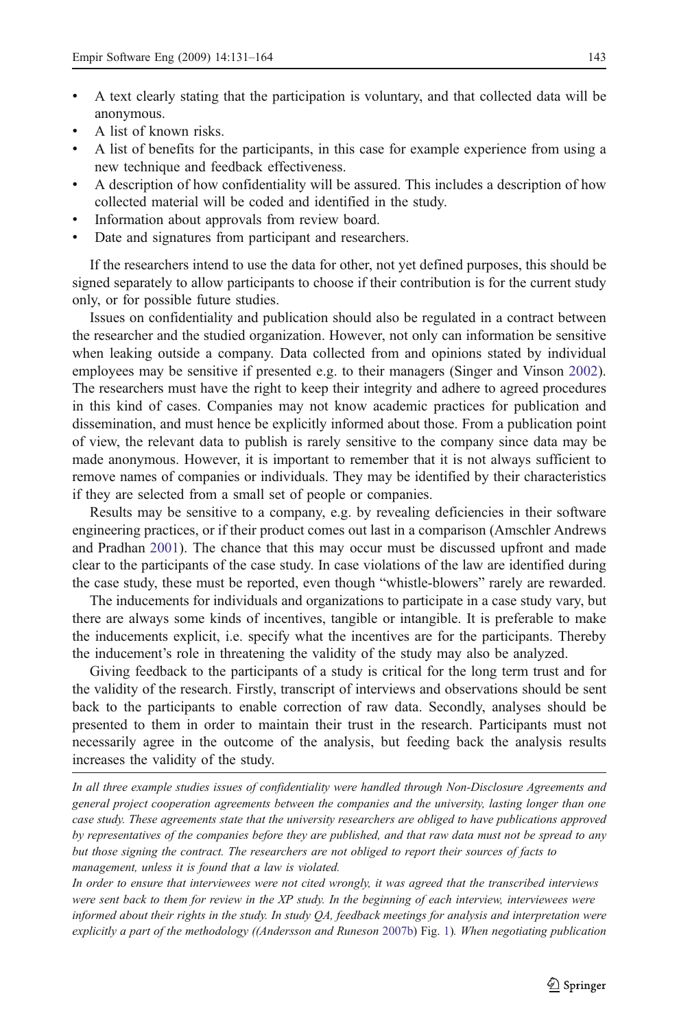- & A text clearly stating that the participation is voluntary, and that collected data will be anonymous.
- & A list of known risks.
- & A list of benefits for the participants, in this case for example experience from using a new technique and feedback effectiveness.
- & A description of how confidentiality will be assured. This includes a description of how collected material will be coded and identified in the study.
- Information about approvals from review board.
- Date and signatures from participant and researchers.

If the researchers intend to use the data for other, not yet defined purposes, this should be signed separately to allow participants to choose if their contribution is for the current study only, or for possible future studies.

Issues on confidentiality and publication should also be regulated in a contract between the researcher and the studied organization. However, not only can information be sensitive when leaking outside a company. Data collected from and opinions stated by individual employees may be sensitive if presented e.g. to their managers (Singer and Vinson [2002](#page-32-0)). The researchers must have the right to keep their integrity and adhere to agreed procedures in this kind of cases. Companies may not know academic practices for publication and dissemination, and must hence be explicitly informed about those. From a publication point of view, the relevant data to publish is rarely sensitive to the company since data may be made anonymous. However, it is important to remember that it is not always sufficient to remove names of companies or individuals. They may be identified by their characteristics if they are selected from a small set of people or companies.

Results may be sensitive to a company, e.g. by revealing deficiencies in their software engineering practices, or if their product comes out last in a comparison (Amschler Andrews and Pradhan [2001\)](#page-30-0). The chance that this may occur must be discussed upfront and made clear to the participants of the case study. In case violations of the law are identified during the case study, these must be reported, even though "whistle-blowers" rarely are rewarded.

The inducements for individuals and organizations to participate in a case study vary, but there are always some kinds of incentives, tangible or intangible. It is preferable to make the inducements explicit, i.e. specify what the incentives are for the participants. Thereby the inducement's role in threatening the validity of the study may also be analyzed.

Giving feedback to the participants of a study is critical for the long term trust and for the validity of the research. Firstly, transcript of interviews and observations should be sent back to the participants to enable correction of raw data. Secondly, analyses should be presented to them in order to maintain their trust in the research. Participants must not necessarily agree in the outcome of the analysis, but feeding back the analysis results increases the validity of the study.

In all three example studies issues of confidentiality were handled through Non-Disclosure Agreements and general project cooperation agreements between the companies and the university, lasting longer than one case study. These agreements state that the university researchers are obliged to have publications approved by representatives of the companies before they are published, and that raw data must not be spread to any but those signing the contract. The researchers are not obliged to report their sources of facts to management, unless it is found that a law is violated.

In order to ensure that interviewees were not cited wrongly, it was agreed that the transcribed interviews were sent back to them for review in the XP study. In the beginning of each interview, interviewees were informed about their rights in the study. In study QA, feedback meetings for analysis and interpretation were explicitly a part of the methodology ((Andersson and Runeson [2007b\)](#page-31-0) Fig. [1](#page-8-0)). When negotiating publication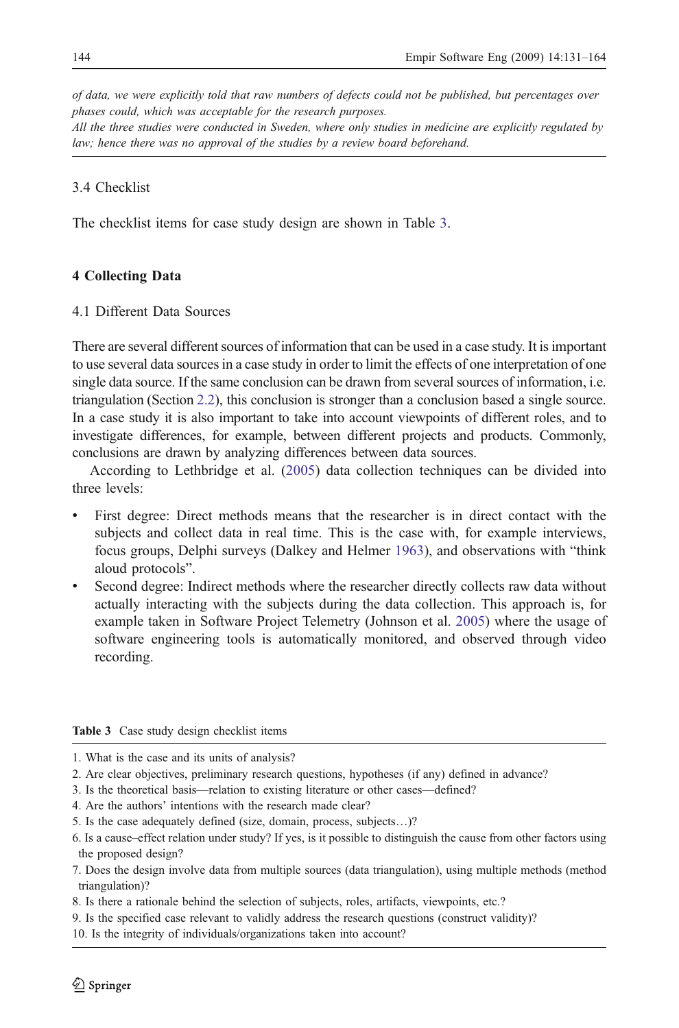<span id="page-13-0"></span>of data, we were explicitly told that raw numbers of defects could not be published, but percentages over phases could, which was acceptable for the research purposes.

All the three studies were conducted in Sweden, where only studies in medicine are explicitly regulated by law; hence there was no approval of the studies by a review board beforehand.

# 3.4 Checklist

The checklist items for case study design are shown in Table 3.

# 4 Collecting Data

# 4.1 Different Data Sources

There are several different sources of information that can be used in a case study. It is important to use several data sources in a case study in order to limit the effects of one interpretation of one single data source. If the same conclusion can be drawn from several sources of information, i.e. triangulation (Section [2.2](#page-4-0)), this conclusion is stronger than a conclusion based a single source. In a case study it is also important to take into account viewpoints of different roles, and to investigate differences, for example, between different projects and products. Commonly, conclusions are drawn by analyzing differences between data sources.

According to Lethbridge et al. [\(2005](#page-32-0)) data collection techniques can be divided into three levels:

- First degree: Direct methods means that the researcher is in direct contact with the subjects and collect data in real time. This is the case with, for example interviews, focus groups, Delphi surveys (Dalkey and Helmer [1963\)](#page-31-0), and observations with "think aloud protocols".
- & Second degree: Indirect methods where the researcher directly collects raw data without actually interacting with the subjects during the data collection. This approach is, for example taken in Software Project Telemetry (Johnson et al. [2005](#page-31-0)) where the usage of software engineering tools is automatically monitored, and observed through video recording.

#### Table 3 Case study design checklist items

1. What is the case and its units of analysis?

- 3. Is the theoretical basis—relation to existing literature or other cases—defined?
- 4. Are the authors' intentions with the research made clear?
- 5. Is the case adequately defined (size, domain, process, subjects…)?

- 7. Does the design involve data from multiple sources (data triangulation), using multiple methods (method triangulation)?
- 8. Is there a rationale behind the selection of subjects, roles, artifacts, viewpoints, etc.?
- 9. Is the specified case relevant to validly address the research questions (construct validity)?
- 10. Is the integrity of individuals/organizations taken into account?

<sup>2.</sup> Are clear objectives, preliminary research questions, hypotheses (if any) defined in advance?

<sup>6.</sup> Is a cause–effect relation under study? If yes, is it possible to distinguish the cause from other factors using the proposed design?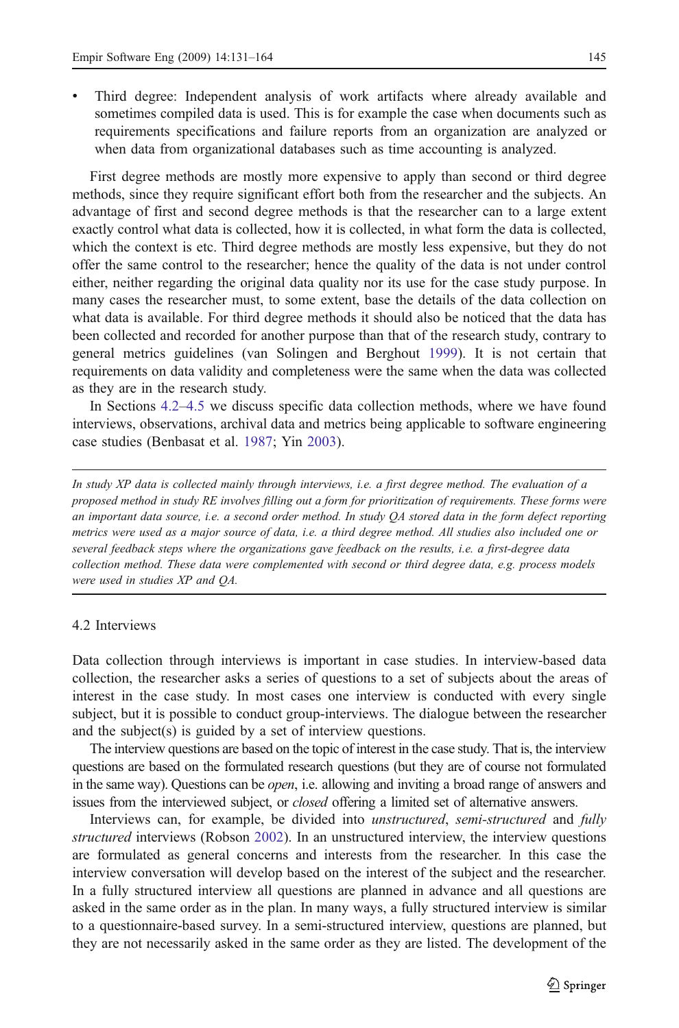& Third degree: Independent analysis of work artifacts where already available and sometimes compiled data is used. This is for example the case when documents such as requirements specifications and failure reports from an organization are analyzed or when data from organizational databases such as time accounting is analyzed.

First degree methods are mostly more expensive to apply than second or third degree methods, since they require significant effort both from the researcher and the subjects. An advantage of first and second degree methods is that the researcher can to a large extent exactly control what data is collected, how it is collected, in what form the data is collected, which the context is etc. Third degree methods are mostly less expensive, but they do not offer the same control to the researcher; hence the quality of the data is not under control either, neither regarding the original data quality nor its use for the case study purpose. In many cases the researcher must, to some extent, base the details of the data collection on what data is available. For third degree methods it should also be noticed that the data has been collected and recorded for another purpose than that of the research study, contrary to general metrics guidelines (van Solingen and Berghout [1999](#page-32-0)). It is not certain that requirements on data validity and completeness were the same when the data was collected as they are in the research study.

In Sections 4.2–[4.5](#page-18-0) we discuss specific data collection methods, where we have found interviews, observations, archival data and metrics being applicable to software engineering case studies (Benbasat et al. [1987;](#page-31-0) Yin [2003\)](#page-33-0).

In study XP data is collected mainly through interviews, i.e. a first degree method. The evaluation of a proposed method in study RE involves filling out a form for prioritization of requirements. These forms were an important data source, i.e. a second order method. In study QA stored data in the form defect reporting metrics were used as a major source of data, i.e. a third degree method. All studies also included one or several feedback steps where the organizations gave feedback on the results, i.e. a first-degree data collection method. These data were complemented with second or third degree data, e.g. process models were used in studies XP and QA.

# 4.2 Interviews

Data collection through interviews is important in case studies. In interview-based data collection, the researcher asks a series of questions to a set of subjects about the areas of interest in the case study. In most cases one interview is conducted with every single subject, but it is possible to conduct group-interviews. The dialogue between the researcher and the subject(s) is guided by a set of interview questions.

The interview questions are based on the topic of interest in the case study. That is, the interview questions are based on the formulated research questions (but they are of course not formulated in the same way). Questions can be *open*, i.e. allowing and inviting a broad range of answers and issues from the interviewed subject, or *closed* offering a limited set of alternative answers.

Interviews can, for example, be divided into unstructured, semi-structured and fully structured interviews (Robson [2002\)](#page-32-0). In an unstructured interview, the interview questions are formulated as general concerns and interests from the researcher. In this case the interview conversation will develop based on the interest of the subject and the researcher. In a fully structured interview all questions are planned in advance and all questions are asked in the same order as in the plan. In many ways, a fully structured interview is similar to a questionnaire-based survey. In a semi-structured interview, questions are planned, but they are not necessarily asked in the same order as they are listed. The development of the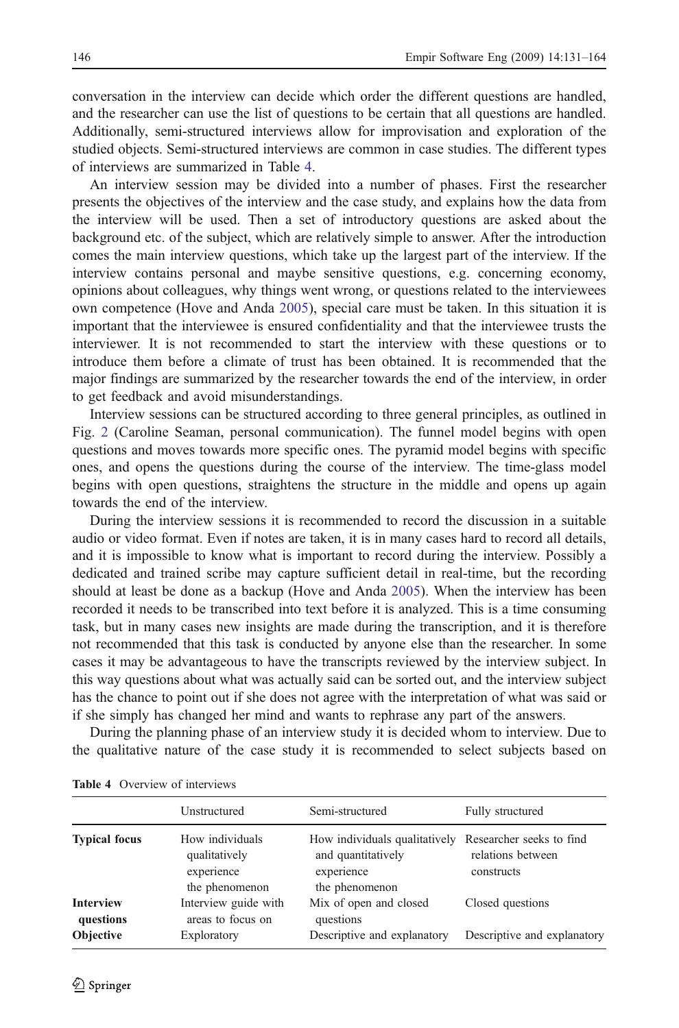conversation in the interview can decide which order the different questions are handled, and the researcher can use the list of questions to be certain that all questions are handled. Additionally, semi-structured interviews allow for improvisation and exploration of the studied objects. Semi-structured interviews are common in case studies. The different types of interviews are summarized in Table 4.

An interview session may be divided into a number of phases. First the researcher presents the objectives of the interview and the case study, and explains how the data from the interview will be used. Then a set of introductory questions are asked about the background etc. of the subject, which are relatively simple to answer. After the introduction comes the main interview questions, which take up the largest part of the interview. If the interview contains personal and maybe sensitive questions, e.g. concerning economy, opinions about colleagues, why things went wrong, or questions related to the interviewees own competence (Hove and Anda [2005\)](#page-31-0), special care must be taken. In this situation it is important that the interviewee is ensured confidentiality and that the interviewee trusts the interviewer. It is not recommended to start the interview with these questions or to introduce them before a climate of trust has been obtained. It is recommended that the major findings are summarized by the researcher towards the end of the interview, in order to get feedback and avoid misunderstandings.

Interview sessions can be structured according to three general principles, as outlined in Fig. [2](#page-16-0) (Caroline Seaman, personal communication). The funnel model begins with open questions and moves towards more specific ones. The pyramid model begins with specific ones, and opens the questions during the course of the interview. The time-glass model begins with open questions, straightens the structure in the middle and opens up again towards the end of the interview.

During the interview sessions it is recommended to record the discussion in a suitable audio or video format. Even if notes are taken, it is in many cases hard to record all details, and it is impossible to know what is important to record during the interview. Possibly a dedicated and trained scribe may capture sufficient detail in real-time, but the recording should at least be done as a backup (Hove and Anda [2005](#page-31-0)). When the interview has been recorded it needs to be transcribed into text before it is analyzed. This is a time consuming task, but in many cases new insights are made during the transcription, and it is therefore not recommended that this task is conducted by anyone else than the researcher. In some cases it may be advantageous to have the transcripts reviewed by the interview subject. In this way questions about what was actually said can be sorted out, and the interview subject has the chance to point out if she does not agree with the interpretation of what was said or if she simply has changed her mind and wants to rephrase any part of the answers.

During the planning phase of an interview study it is decided whom to interview. Due to the qualitative nature of the case study it is recommended to select subjects based on

| Unstructured                                                     | Semi-structured                                                                     | Fully structured                                            |
|------------------------------------------------------------------|-------------------------------------------------------------------------------------|-------------------------------------------------------------|
| How individuals<br>qualitatively<br>experience<br>the phenomenon | How individuals qualitatively<br>and quantitatively<br>experience<br>the phenomenon | Researcher seeks to find<br>relations between<br>constructs |
| Interview guide with<br>areas to focus on                        | Mix of open and closed<br>questions                                                 | Closed questions<br>Descriptive and explanatory             |
|                                                                  | Exploratory                                                                         | Descriptive and explanatory                                 |

| <b>Table 4</b> Overview of interviews |
|---------------------------------------|
|                                       |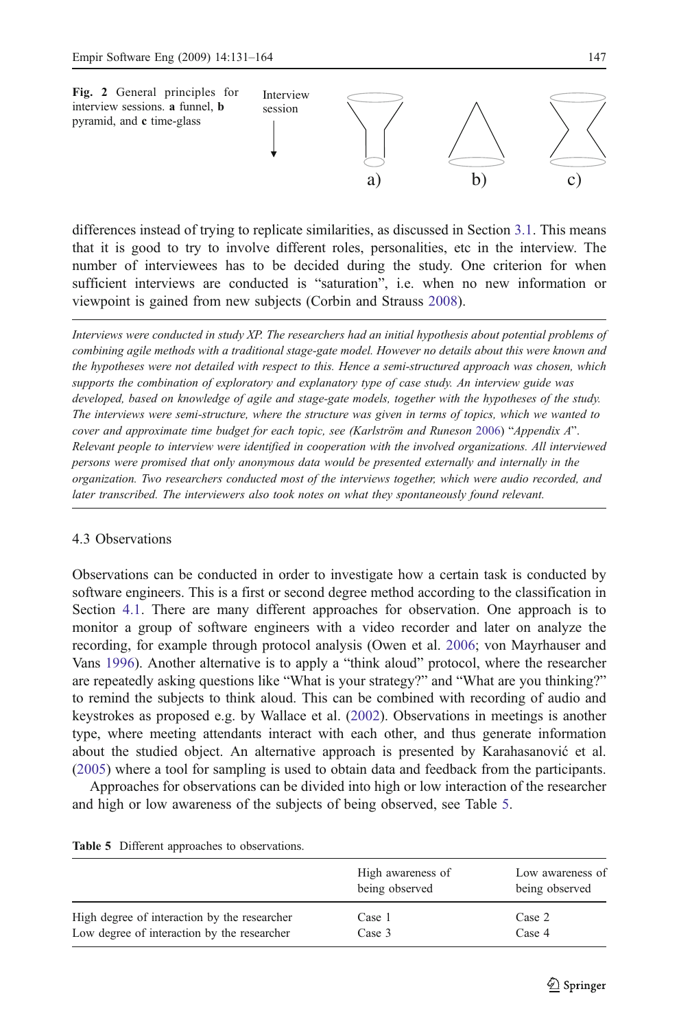<span id="page-16-0"></span>

differences instead of trying to replicate similarities, as discussed in Section [3.1.](#page-7-0) This means that it is good to try to involve different roles, personalities, etc in the interview. The number of interviewees has to be decided during the study. One criterion for when sufficient interviews are conducted is "saturation", i.e. when no new information or viewpoint is gained from new subjects (Corbin and Strauss [2008](#page-31-0)).

Interviews were conducted in study XP. The researchers had an initial hypothesis about potential problems of combining agile methods with a traditional stage-gate model. However no details about this were known and the hypotheses were not detailed with respect to this. Hence a semi-structured approach was chosen, which supports the combination of exploratory and explanatory type of case study. An interview guide was developed, based on knowledge of agile and stage-gate models, together with the hypotheses of the study. The interviews were semi-structure, where the structure was given in terms of topics, which we wanted to cover and approximate time budget for each topic, see (Karlström and Runeson [2006](#page-31-0)) "Appendix [A](#page-29-0)". Relevant people to interview were identified in cooperation with the involved organizations. All interviewed persons were promised that only anonymous data would be presented externally and internally in the organization. Two researchers conducted most of the interviews together, which were audio recorded, and later transcribed. The interviewers also took notes on what they spontaneously found relevant.

# 4.3 Observations

Observations can be conducted in order to investigate how a certain task is conducted by software engineers. This is a first or second degree method according to the classification in Section [4.1](#page-13-0). There are many different approaches for observation. One approach is to monitor a group of software engineers with a video recorder and later on analyze the recording, for example through protocol analysis (Owen et al. [2006;](#page-32-0) von Mayrhauser and Vans [1996](#page-32-0)). Another alternative is to apply a "think aloud" protocol, where the researcher are repeatedly asking questions like "What is your strategy?" and "What are you thinking?" to remind the subjects to think aloud. This can be combined with recording of audio and keystrokes as proposed e.g. by Wallace et al. [\(2002\)](#page-32-0). Observations in meetings is another type, where meeting attendants interact with each other, and thus generate information about the studied object. An alternative approach is presented by Karahasanović et al. ([2005\)](#page-31-0) where a tool for sampling is used to obtain data and feedback from the participants.

Approaches for observations can be divided into high or low interaction of the researcher and high or low awareness of the subjects of being observed, see Table 5.

|                                              | High awareness of<br>being observed | Low awareness of<br>being observed |
|----------------------------------------------|-------------------------------------|------------------------------------|
| High degree of interaction by the researcher | Case 1                              | Case 2                             |
| Low degree of interaction by the researcher  | Case 3                              | Case 4                             |

Table 5 Different approaches to observations.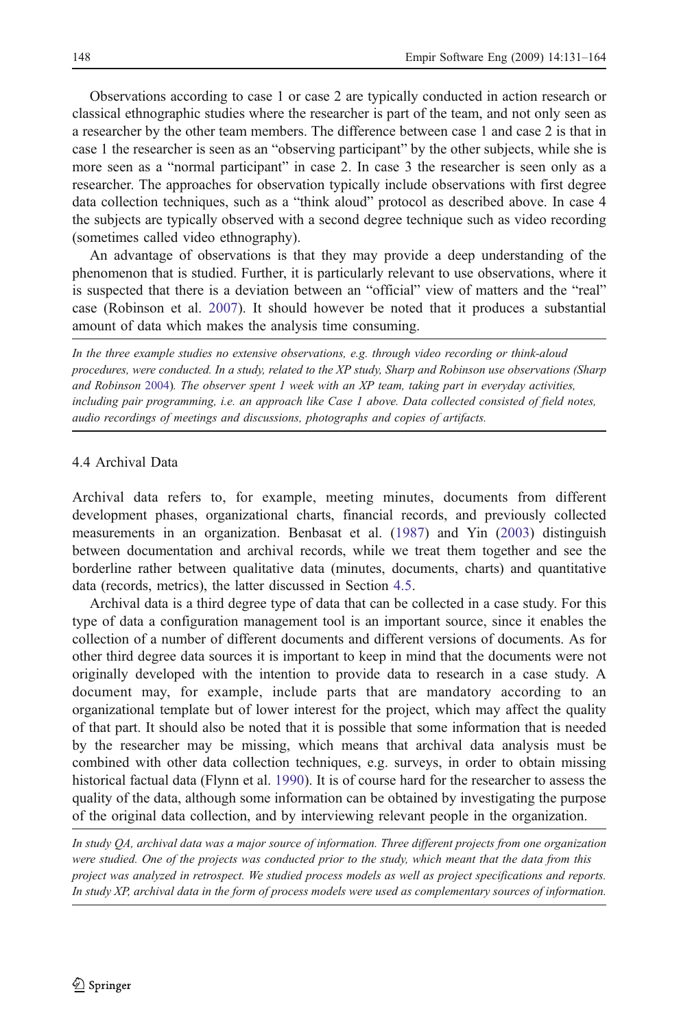Observations according to case 1 or case 2 are typically conducted in action research or classical ethnographic studies where the researcher is part of the team, and not only seen as a researcher by the other team members. The difference between case 1 and case 2 is that in case 1 the researcher is seen as an "observing participant" by the other subjects, while she is more seen as a "normal participant" in case 2. In case 3 the researcher is seen only as a researcher. The approaches for observation typically include observations with first degree data collection techniques, such as a "think aloud" protocol as described above. In case 4 the subjects are typically observed with a second degree technique such as video recording (sometimes called video ethnography).

An advantage of observations is that they may provide a deep understanding of the phenomenon that is studied. Further, it is particularly relevant to use observations, where it is suspected that there is a deviation between an "official" view of matters and the "real" case (Robinson et al. [2007](#page-32-0)). It should however be noted that it produces a substantial amount of data which makes the analysis time consuming.

In the three example studies no extensive observations, e.g. through video recording or think-aloud procedures, were conducted. In a study, related to the XP study, Sharp and Robinson use observations (Sharp and Robinson [2004\)](#page-32-0). The observer spent 1 week with an XP team, taking part in everyday activities, including pair programming, i.e. an approach like Case 1 above. Data collected consisted of field notes, audio recordings of meetings and discussions, photographs and copies of artifacts.

# 4.4 Archival Data

Archival data refers to, for example, meeting minutes, documents from different development phases, organizational charts, financial records, and previously collected measurements in an organization. Benbasat et al. ([1987\)](#page-31-0) and Yin [\(2003](#page-33-0)) distinguish between documentation and archival records, while we treat them together and see the borderline rather between qualitative data (minutes, documents, charts) and quantitative data (records, metrics), the latter discussed in Section [4.5.](#page-18-0)

Archival data is a third degree type of data that can be collected in a case study. For this type of data a configuration management tool is an important source, since it enables the collection of a number of different documents and different versions of documents. As for other third degree data sources it is important to keep in mind that the documents were not originally developed with the intention to provide data to research in a case study. A document may, for example, include parts that are mandatory according to an organizational template but of lower interest for the project, which may affect the quality of that part. It should also be noted that it is possible that some information that is needed by the researcher may be missing, which means that archival data analysis must be combined with other data collection techniques, e.g. surveys, in order to obtain missing historical factual data (Flynn et al. [1990](#page-31-0)). It is of course hard for the researcher to assess the quality of the data, although some information can be obtained by investigating the purpose of the original data collection, and by interviewing relevant people in the organization.

In study QA, archival data was a major source of information. Three different projects from one organization were studied. One of the projects was conducted prior to the study, which meant that the data from this project was analyzed in retrospect. We studied process models as well as project specifications and reports. In study XP, archival data in the form of process models were used as complementary sources of information.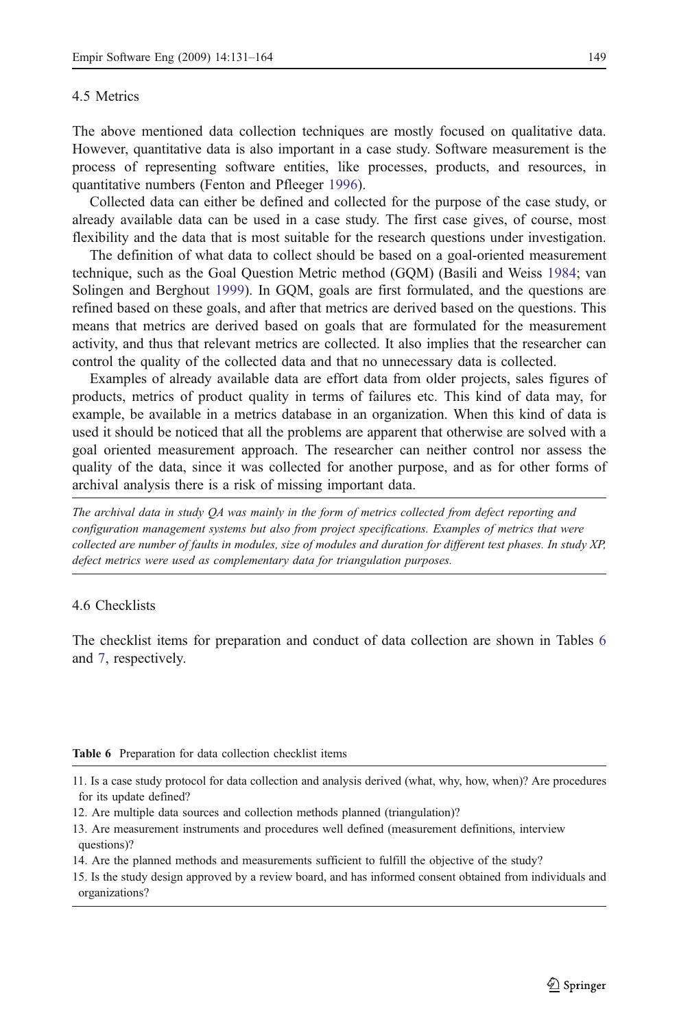#### <span id="page-18-0"></span>4.5 Metrics

The above mentioned data collection techniques are mostly focused on qualitative data. However, quantitative data is also important in a case study. Software measurement is the process of representing software entities, like processes, products, and resources, in quantitative numbers (Fenton and Pfleeger [1996\)](#page-31-0).

Collected data can either be defined and collected for the purpose of the case study, or already available data can be used in a case study. The first case gives, of course, most flexibility and the data that is most suitable for the research questions under investigation.

The definition of what data to collect should be based on a goal-oriented measurement technique, such as the Goal Question Metric method (GQM) (Basili and Weiss [1984](#page-31-0); van Solingen and Berghout [1999](#page-32-0)). In GQM, goals are first formulated, and the questions are refined based on these goals, and after that metrics are derived based on the questions. This means that metrics are derived based on goals that are formulated for the measurement activity, and thus that relevant metrics are collected. It also implies that the researcher can control the quality of the collected data and that no unnecessary data is collected.

Examples of already available data are effort data from older projects, sales figures of products, metrics of product quality in terms of failures etc. This kind of data may, for example, be available in a metrics database in an organization. When this kind of data is used it should be noticed that all the problems are apparent that otherwise are solved with a goal oriented measurement approach. The researcher can neither control nor assess the quality of the data, since it was collected for another purpose, and as for other forms of archival analysis there is a risk of missing important data.

The archival data in study OA was mainly in the form of metrics collected from defect reporting and configuration management systems but also from project specifications. Examples of metrics that were collected are number of faults in modules, size of modules and duration for different test phases. In study XP, defect metrics were used as complementary data for triangulation purposes.

# 4.6 Checklists

The checklist items for preparation and conduct of data collection are shown in Tables 6 and [7](#page-19-0), respectively.

#### Table 6 Preparation for data collection checklist items

- 11. Is a case study protocol for data collection and analysis derived (what, why, how, when)? Are procedures for its update defined?
- 12. Are multiple data sources and collection methods planned (triangulation)?
- 13. Are measurement instruments and procedures well defined (measurement definitions, interview questions)?
- 14. Are the planned methods and measurements sufficient to fulfill the objective of the study?
- 15. Is the study design approved by a review board, and has informed consent obtained from individuals and organizations?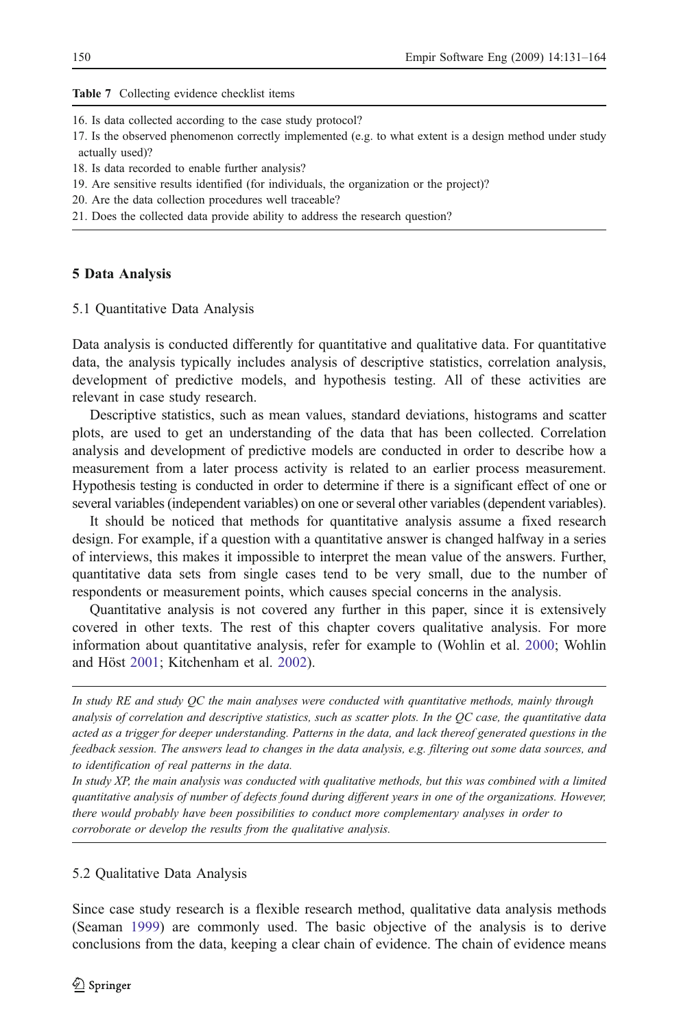<span id="page-19-0"></span>Table 7 Collecting evidence checklist items

16. Is data collected according to the case study protocol?

17. Is the observed phenomenon correctly implemented (e.g. to what extent is a design method under study actually used)?

- 18. Is data recorded to enable further analysis?
- 19. Are sensitive results identified (for individuals, the organization or the project)?
- 20. Are the data collection procedures well traceable?

21. Does the collected data provide ability to address the research question?

#### 5 Data Analysis

5.1 Quantitative Data Analysis

Data analysis is conducted differently for quantitative and qualitative data. For quantitative data, the analysis typically includes analysis of descriptive statistics, correlation analysis, development of predictive models, and hypothesis testing. All of these activities are relevant in case study research.

Descriptive statistics, such as mean values, standard deviations, histograms and scatter plots, are used to get an understanding of the data that has been collected. Correlation analysis and development of predictive models are conducted in order to describe how a measurement from a later process activity is related to an earlier process measurement. Hypothesis testing is conducted in order to determine if there is a significant effect of one or several variables (independent variables) on one orseveral other variables (dependent variables).

It should be noticed that methods for quantitative analysis assume a fixed research design. For example, if a question with a quantitative answer is changed halfway in a series of interviews, this makes it impossible to interpret the mean value of the answers. Further, quantitative data sets from single cases tend to be very small, due to the number of respondents or measurement points, which causes special concerns in the analysis.

Quantitative analysis is not covered any further in this paper, since it is extensively covered in other texts. The rest of this chapter covers qualitative analysis. For more information about quantitative analysis, refer for example to (Wohlin et al. [2000](#page-32-0); Wohlin and Höst [2001](#page-32-0); Kitchenham et al. [2002\)](#page-31-0).

### 5.2 Qualitative Data Analysis

Since case study research is a flexible research method, qualitative data analysis methods (Seaman [1999](#page-32-0)) are commonly used. The basic objective of the analysis is to derive conclusions from the data, keeping a clear chain of evidence. The chain of evidence means

In study RE and study QC the main analyses were conducted with quantitative methods, mainly through analysis of correlation and descriptive statistics, such as scatter plots. In the QC case, the quantitative data acted as a trigger for deeper understanding. Patterns in the data, and lack thereof generated questions in the feedback session. The answers lead to changes in the data analysis, e.g. filtering out some data sources, and to identification of real patterns in the data.

In study XP, the main analysis was conducted with qualitative methods, but this was combined with a limited quantitative analysis of number of defects found during different years in one of the organizations. However, there would probably have been possibilities to conduct more complementary analyses in order to corroborate or develop the results from the qualitative analysis.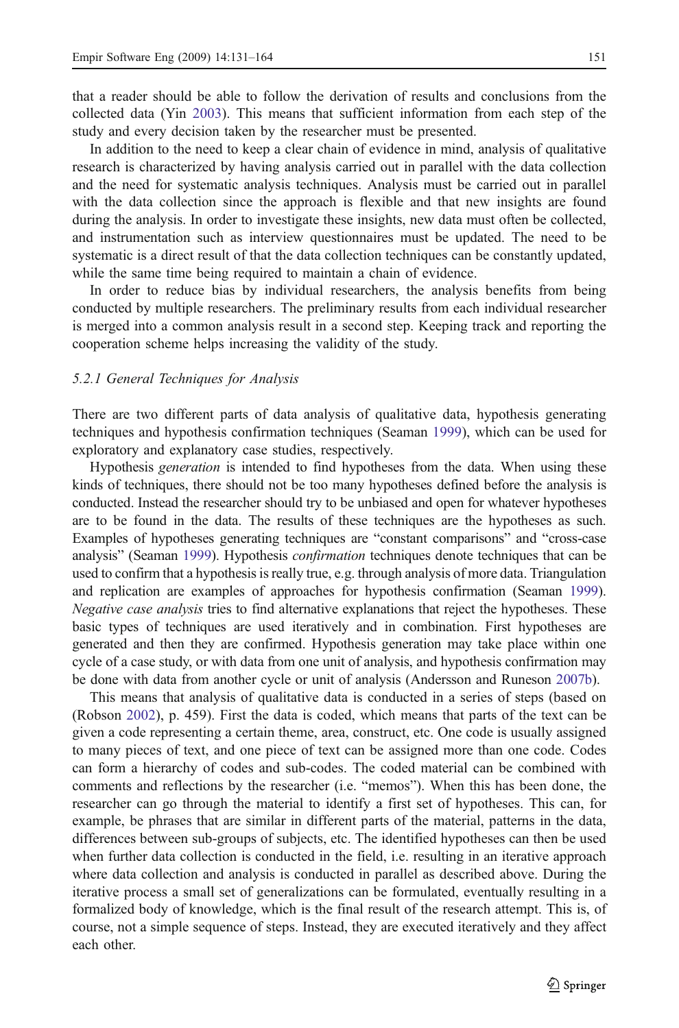<span id="page-20-0"></span>that a reader should be able to follow the derivation of results and conclusions from the collected data (Yin [2003\)](#page-33-0). This means that sufficient information from each step of the study and every decision taken by the researcher must be presented.

In addition to the need to keep a clear chain of evidence in mind, analysis of qualitative research is characterized by having analysis carried out in parallel with the data collection and the need for systematic analysis techniques. Analysis must be carried out in parallel with the data collection since the approach is flexible and that new insights are found during the analysis. In order to investigate these insights, new data must often be collected, and instrumentation such as interview questionnaires must be updated. The need to be systematic is a direct result of that the data collection techniques can be constantly updated, while the same time being required to maintain a chain of evidence.

In order to reduce bias by individual researchers, the analysis benefits from being conducted by multiple researchers. The preliminary results from each individual researcher is merged into a common analysis result in a second step. Keeping track and reporting the cooperation scheme helps increasing the validity of the study.

#### 5.2.1 General Techniques for Analysis

There are two different parts of data analysis of qualitative data, hypothesis generating techniques and hypothesis confirmation techniques (Seaman [1999\)](#page-32-0), which can be used for exploratory and explanatory case studies, respectively.

Hypothesis generation is intended to find hypotheses from the data. When using these kinds of techniques, there should not be too many hypotheses defined before the analysis is conducted. Instead the researcher should try to be unbiased and open for whatever hypotheses are to be found in the data. The results of these techniques are the hypotheses as such. Examples of hypotheses generating techniques are "constant comparisons" and "cross-case analysis" (Seaman [1999\)](#page-32-0). Hypothesis confirmation techniques denote techniques that can be used to confirm that a hypothesis is really true, e.g. through analysis of more data. Triangulation and replication are examples of approaches for hypothesis confirmation (Seaman [1999](#page-32-0)). Negative case analysis tries to find alternative explanations that reject the hypotheses. These basic types of techniques are used iteratively and in combination. First hypotheses are generated and then they are confirmed. Hypothesis generation may take place within one cycle of a case study, or with data from one unit of analysis, and hypothesis confirmation may be done with data from another cycle or unit of analysis (Andersson and Runeson [2007b](#page-31-0)).

This means that analysis of qualitative data is conducted in a series of steps (based on (Robson [2002\)](#page-32-0), p. 459). First the data is coded, which means that parts of the text can be given a code representing a certain theme, area, construct, etc. One code is usually assigned to many pieces of text, and one piece of text can be assigned more than one code. Codes can form a hierarchy of codes and sub-codes. The coded material can be combined with comments and reflections by the researcher (i.e. "memos"). When this has been done, the researcher can go through the material to identify a first set of hypotheses. This can, for example, be phrases that are similar in different parts of the material, patterns in the data, differences between sub-groups of subjects, etc. The identified hypotheses can then be used when further data collection is conducted in the field, i.e. resulting in an iterative approach where data collection and analysis is conducted in parallel as described above. During the iterative process a small set of generalizations can be formulated, eventually resulting in a formalized body of knowledge, which is the final result of the research attempt. This is, of course, not a simple sequence of steps. Instead, they are executed iteratively and they affect each other.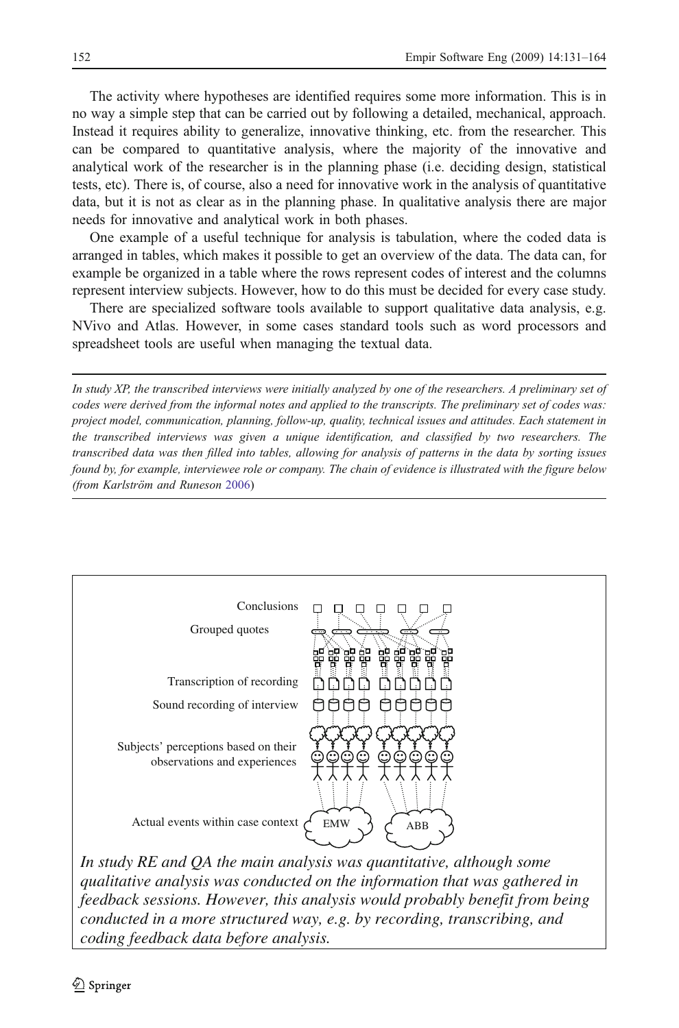The activity where hypotheses are identified requires some more information. This is in no way a simple step that can be carried out by following a detailed, mechanical, approach. Instead it requires ability to generalize, innovative thinking, etc. from the researcher. This can be compared to quantitative analysis, where the majority of the innovative and analytical work of the researcher is in the planning phase (i.e. deciding design, statistical tests, etc). There is, of course, also a need for innovative work in the analysis of quantitative data, but it is not as clear as in the planning phase. In qualitative analysis there are major needs for innovative and analytical work in both phases.

One example of a useful technique for analysis is tabulation, where the coded data is arranged in tables, which makes it possible to get an overview of the data. The data can, for example be organized in a table where the rows represent codes of interest and the columns represent interview subjects. However, how to do this must be decided for every case study.

There are specialized software tools available to support qualitative data analysis, e.g. NVivo and Atlas. However, in some cases standard tools such as word processors and spreadsheet tools are useful when managing the textual data.

In study XP, the transcribed interviews were initially analyzed by one of the researchers. A preliminary set of codes were derived from the informal notes and applied to the transcripts. The preliminary set of codes was: project model, communication, planning, follow-up, quality, technical issues and attitudes. Each statement in the transcribed interviews was given a unique identification, and classified by two researchers. The transcribed data was then filled into tables, allowing for analysis of patterns in the data by sorting issues found by, for example, interviewee role or company. The chain of evidence is illustrated with the figure below (from Karlström and Runeson [2006](#page-31-0))



*qualitative analysis was conducted on the information that was gathered in feedback sessions. However, this analysis would probably benefit from being conducted in a more structured way, e.g. by recording, transcribing, and coding feedback data before analysis.*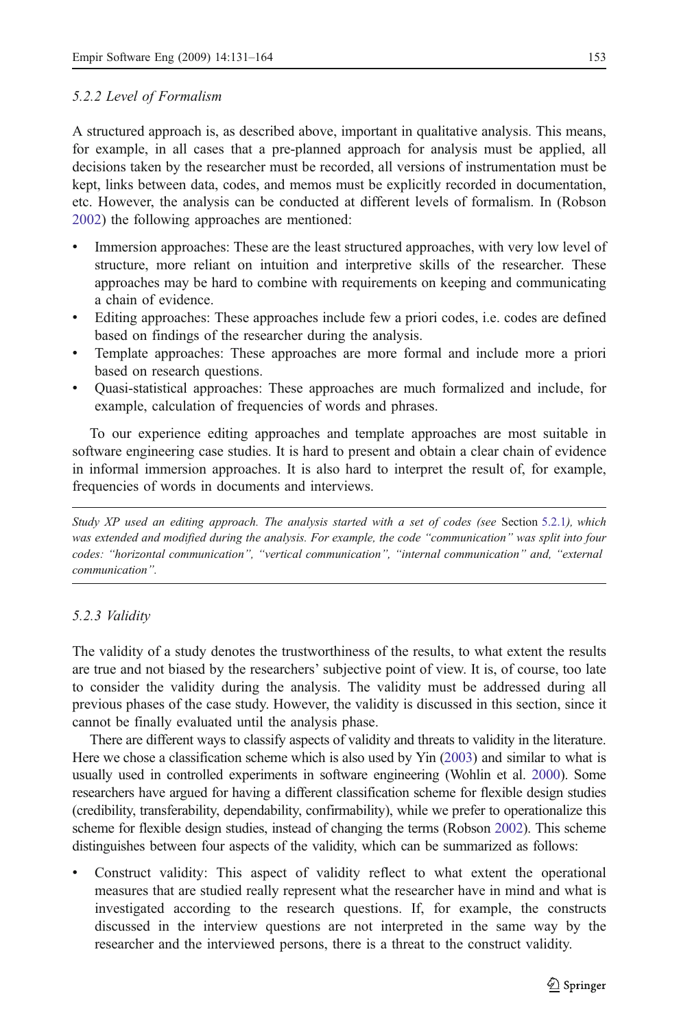# 5.2.2 Level of Formalism

A structured approach is, as described above, important in qualitative analysis. This means, for example, in all cases that a pre-planned approach for analysis must be applied, all decisions taken by the researcher must be recorded, all versions of instrumentation must be kept, links between data, codes, and memos must be explicitly recorded in documentation, etc. However, the analysis can be conducted at different levels of formalism. In (Robson [2002\)](#page-32-0) the following approaches are mentioned:

- Immersion approaches: These are the least structured approaches, with very low level of structure, more reliant on intuition and interpretive skills of the researcher. These approaches may be hard to combine with requirements on keeping and communicating a chain of evidence.
- & Editing approaches: These approaches include few a priori codes, i.e. codes are defined based on findings of the researcher during the analysis.
- & Template approaches: These approaches are more formal and include more a priori based on research questions.
- & Quasi-statistical approaches: These approaches are much formalized and include, for example, calculation of frequencies of words and phrases.

To our experience editing approaches and template approaches are most suitable in software engineering case studies. It is hard to present and obtain a clear chain of evidence in informal immersion approaches. It is also hard to interpret the result of, for example, frequencies of words in documents and interviews.

Study XP used an editing approach. The analysis started with a set of codes (see Section [5.2.1](#page-20-0)), which was extended and modified during the analysis. For example, the code "communication" was split into four codes: "horizontal communication", "vertical communication", "internal communication" and, "external communication".

# 5.2.3 Validity

The validity of a study denotes the trustworthiness of the results, to what extent the results are true and not biased by the researchers' subjective point of view. It is, of course, too late to consider the validity during the analysis. The validity must be addressed during all previous phases of the case study. However, the validity is discussed in this section, since it cannot be finally evaluated until the analysis phase.

There are different ways to classify aspects of validity and threats to validity in the literature. Here we chose a classification scheme which is also used by Yin ([2003](#page-33-0)) and similar to what is usually used in controlled experiments in software engineering (Wohlin et al. [2000\)](#page-32-0). Some researchers have argued for having a different classification scheme for flexible design studies (credibility, transferability, dependability, confirmability), while we prefer to operationalize this scheme for flexible design studies, instead of changing the terms (Robson [2002\)](#page-32-0). This scheme distinguishes between four aspects of the validity, which can be summarized as follows:

Construct validity: This aspect of validity reflect to what extent the operational measures that are studied really represent what the researcher have in mind and what is investigated according to the research questions. If, for example, the constructs discussed in the interview questions are not interpreted in the same way by the researcher and the interviewed persons, there is a threat to the construct validity.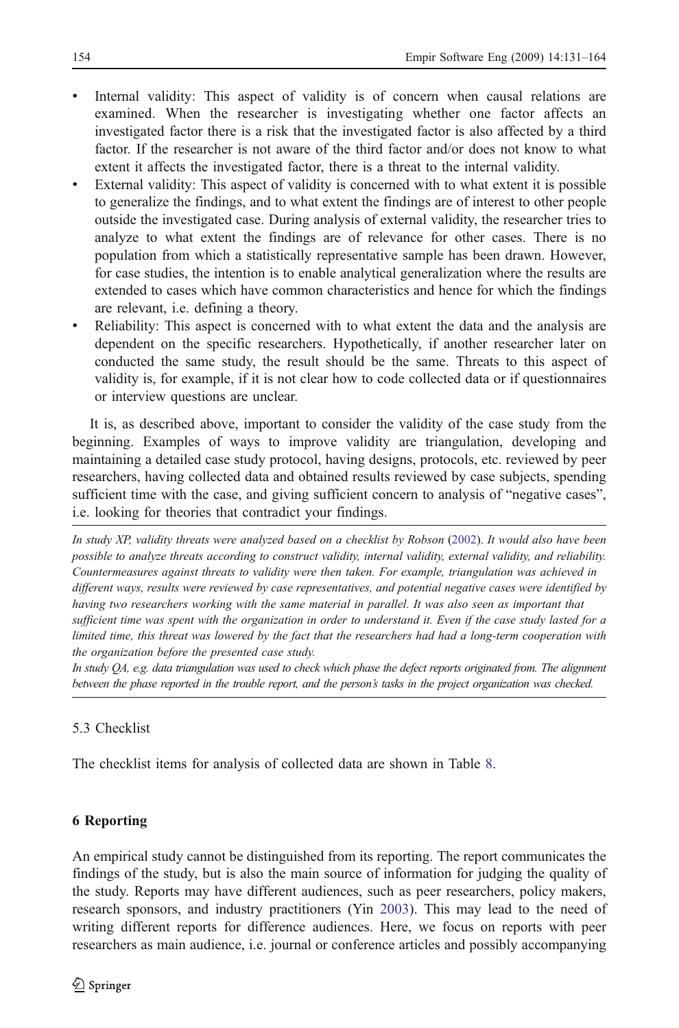- <span id="page-23-0"></span>Internal validity: This aspect of validity is of concern when causal relations are examined. When the researcher is investigating whether one factor affects an investigated factor there is a risk that the investigated factor is also affected by a third factor. If the researcher is not aware of the third factor and/or does not know to what extent it affects the investigated factor, there is a threat to the internal validity.
- External validity: This aspect of validity is concerned with to what extent it is possible to generalize the findings, and to what extent the findings are of interest to other people outside the investigated case. During analysis of external validity, the researcher tries to analyze to what extent the findings are of relevance for other cases. There is no population from which a statistically representative sample has been drawn. However, for case studies, the intention is to enable analytical generalization where the results are extended to cases which have common characteristics and hence for which the findings are relevant, i.e. defining a theory.
- Reliability: This aspect is concerned with to what extent the data and the analysis are dependent on the specific researchers. Hypothetically, if another researcher later on conducted the same study, the result should be the same. Threats to this aspect of validity is, for example, if it is not clear how to code collected data or if questionnaires or interview questions are unclear.

It is, as described above, important to consider the validity of the case study from the beginning. Examples of ways to improve validity are triangulation, developing and maintaining a detailed case study protocol, having designs, protocols, etc. reviewed by peer researchers, having collected data and obtained results reviewed by case subjects, spending sufficient time with the case, and giving sufficient concern to analysis of "negative cases", i.e. looking for theories that contradict your findings.

In study XP, validity threats were analyzed based on a checklist by Robson ([2002\)](#page-32-0). It would also have been possible to analyze threats according to construct validity, internal validity, external validity, and reliability. Countermeasures against threats to validity were then taken. For example, triangulation was achieved in different ways, results were reviewed by case representatives, and potential negative cases were identified by having two researchers working with the same material in parallel. It was also seen as important that sufficient time was spent with the organization in order to understand it. Even if the case study lasted for a limited time, this threat was lowered by the fact that the researchers had had a long-term cooperation with the organization before the presented case study.

In study QA, e.g. data triangulation was used to check which phase the defect reports originated from. The alignment between the phase reported in the trouble report, and the person's tasks in the project organization was checked.

# 5.3 Checklist

The checklist items for analysis of collected data are shown in Table [8.](#page-24-0)

# 6 Reporting

An empirical study cannot be distinguished from its reporting. The report communicates the findings of the study, but is also the main source of information for judging the quality of the study. Reports may have different audiences, such as peer researchers, policy makers, research sponsors, and industry practitioners (Yin [2003\)](#page-33-0). This may lead to the need of writing different reports for difference audiences. Here, we focus on reports with peer researchers as main audience, i.e. journal or conference articles and possibly accompanying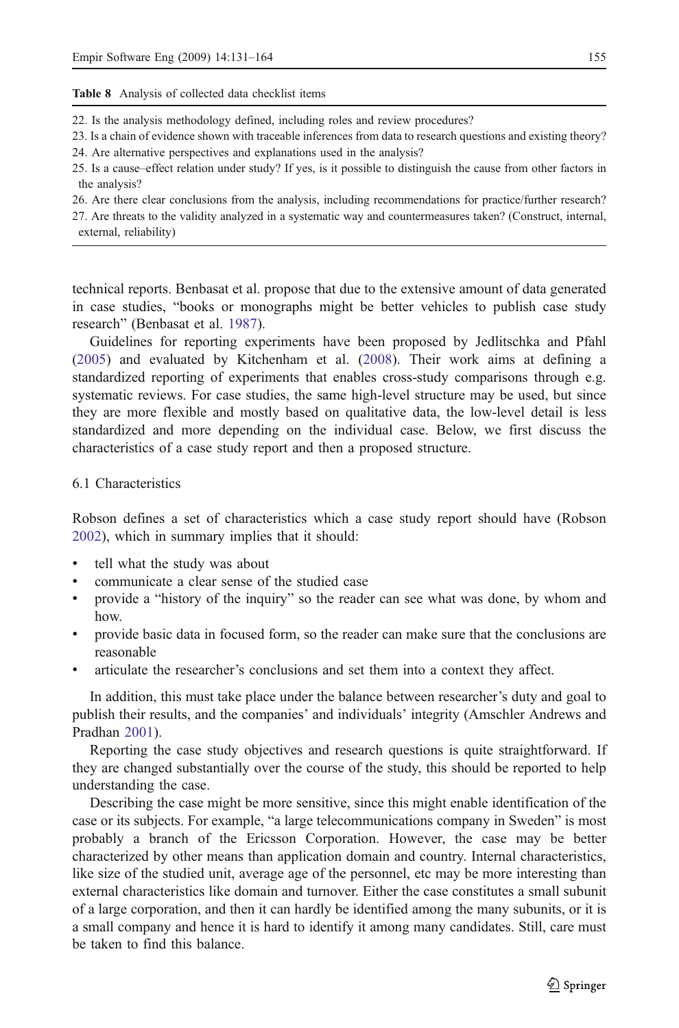- <span id="page-24-0"></span>22. Is the analysis methodology defined, including roles and review procedures?
- 23. Is a chain of evidence shown with traceable inferences from data to research questions and existing theory?
- 24. Are alternative perspectives and explanations used in the analysis?
- 25. Is a cause–effect relation under study? If yes, is it possible to distinguish the cause from other factors in the analysis?
- 26. Are there clear conclusions from the analysis, including recommendations for practice/further research?

27. Are threats to the validity analyzed in a systematic way and countermeasures taken? (Construct, internal, external, reliability)

technical reports. Benbasat et al. propose that due to the extensive amount of data generated in case studies, "books or monographs might be better vehicles to publish case study research" (Benbasat et al. [1987\)](#page-31-0).

Guidelines for reporting experiments have been proposed by Jedlitschka and Pfahl ([2005\)](#page-31-0) and evaluated by Kitchenham et al. [\(2008\)](#page-32-0). Their work aims at defining a standardized reporting of experiments that enables cross-study comparisons through e.g. systematic reviews. For case studies, the same high-level structure may be used, but since they are more flexible and mostly based on qualitative data, the low-level detail is less standardized and more depending on the individual case. Below, we first discuss the characteristics of a case study report and then a proposed structure.

### 6.1 Characteristics

Robson defines a set of characteristics which a case study report should have (Robson [2002\)](#page-32-0), which in summary implies that it should:

- tell what the study was about
- & communicate a clear sense of the studied case
- & provide a "history of the inquiry" so the reader can see what was done, by whom and how.
- & provide basic data in focused form, so the reader can make sure that the conclusions are reasonable
- articulate the researcher's conclusions and set them into a context they affect.

In addition, this must take place under the balance between researcher's duty and goal to publish their results, and the companies' and individuals' integrity (Amschler Andrews and Pradhan [2001\)](#page-30-0).

Reporting the case study objectives and research questions is quite straightforward. If they are changed substantially over the course of the study, this should be reported to help understanding the case.

Describing the case might be more sensitive, since this might enable identification of the case or its subjects. For example, "a large telecommunications company in Sweden" is most probably a branch of the Ericsson Corporation. However, the case may be better characterized by other means than application domain and country. Internal characteristics, like size of the studied unit, average age of the personnel, etc may be more interesting than external characteristics like domain and turnover. Either the case constitutes a small subunit of a large corporation, and then it can hardly be identified among the many subunits, or it is a small company and hence it is hard to identify it among many candidates. Still, care must be taken to find this balance.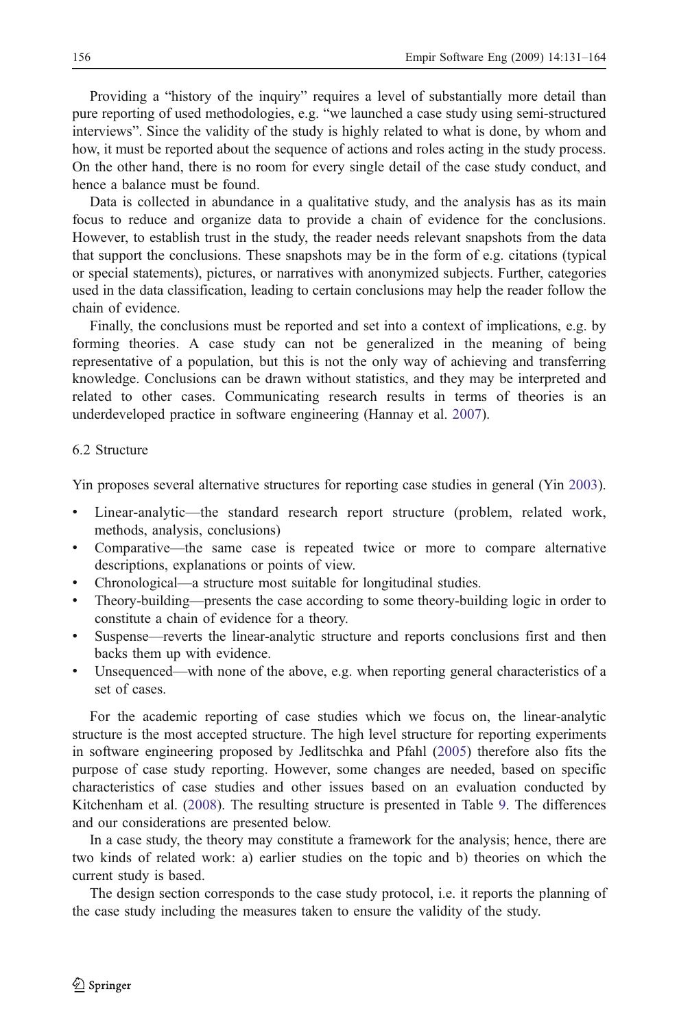Providing a "history of the inquiry" requires a level of substantially more detail than pure reporting of used methodologies, e.g. "we launched a case study using semi-structured interviews". Since the validity of the study is highly related to what is done, by whom and how, it must be reported about the sequence of actions and roles acting in the study process. On the other hand, there is no room for every single detail of the case study conduct, and hence a balance must be found.

Data is collected in abundance in a qualitative study, and the analysis has as its main focus to reduce and organize data to provide a chain of evidence for the conclusions. However, to establish trust in the study, the reader needs relevant snapshots from the data that support the conclusions. These snapshots may be in the form of e.g. citations (typical or special statements), pictures, or narratives with anonymized subjects. Further, categories used in the data classification, leading to certain conclusions may help the reader follow the chain of evidence.

Finally, the conclusions must be reported and set into a context of implications, e.g. by forming theories. A case study can not be generalized in the meaning of being representative of a population, but this is not the only way of achieving and transferring knowledge. Conclusions can be drawn without statistics, and they may be interpreted and related to other cases. Communicating research results in terms of theories is an underdeveloped practice in software engineering (Hannay et al. [2007\)](#page-31-0).

### 6.2 Structure

Yin proposes several alternative structures for reporting case studies in general (Yin [2003](#page-33-0)).

- Linear-analytic—the standard research report structure (problem, related work, methods, analysis, conclusions)
- & Comparative—the same case is repeated twice or more to compare alternative descriptions, explanations or points of view.
- & Chronological—a structure most suitable for longitudinal studies.
- & Theory-building—presents the case according to some theory-building logic in order to constitute a chain of evidence for a theory.
- & Suspense—reverts the linear-analytic structure and reports conclusions first and then backs them up with evidence.
- Unsequenced—with none of the above, e.g. when reporting general characteristics of a set of cases.

For the academic reporting of case studies which we focus on, the linear-analytic structure is the most accepted structure. The high level structure for reporting experiments in software engineering proposed by Jedlitschka and Pfahl [\(2005](#page-31-0)) therefore also fits the purpose of case study reporting. However, some changes are needed, based on specific characteristics of case studies and other issues based on an evaluation conducted by Kitchenham et al. ([2008](#page-32-0)). The resulting structure is presented in Table [9.](#page-26-0) The differences and our considerations are presented below.

In a case study, the theory may constitute a framework for the analysis; hence, there are two kinds of related work: a) earlier studies on the topic and b) theories on which the current study is based.

The design section corresponds to the case study protocol, i.e. it reports the planning of the case study including the measures taken to ensure the validity of the study.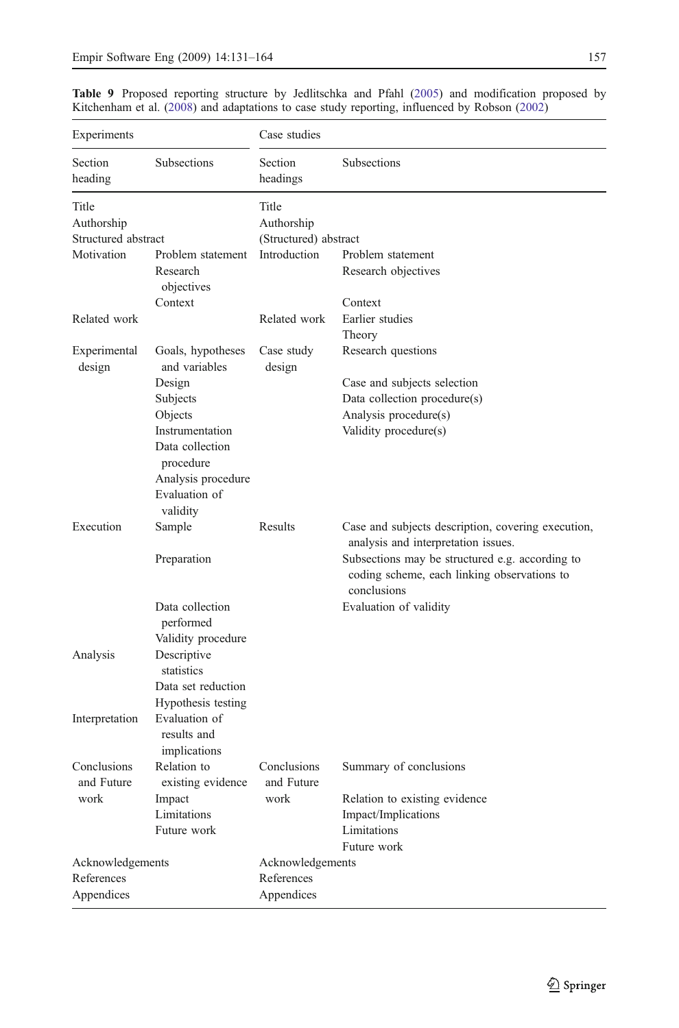| Experiments                                |                                                                                        | Case studies                                 |                                                                                                               |  |
|--------------------------------------------|----------------------------------------------------------------------------------------|----------------------------------------------|---------------------------------------------------------------------------------------------------------------|--|
| Section<br>heading                         | Subsections                                                                            | Section<br>headings                          | Subsections                                                                                                   |  |
| Title<br>Authorship<br>Structured abstract |                                                                                        | Title<br>Authorship<br>(Structured) abstract |                                                                                                               |  |
| Motivation                                 | Problem statement<br>Research<br>objectives                                            | Introduction                                 | Problem statement<br>Research objectives                                                                      |  |
| Context<br>Related work                    |                                                                                        | Related work                                 | Context<br>Earlier studies<br>Theory                                                                          |  |
| Experimental<br>design                     | Goals, hypotheses<br>and variables<br>Design<br>Subjects<br>Objects<br>Instrumentation | Case study<br>design                         | Research questions                                                                                            |  |
|                                            |                                                                                        |                                              | Case and subjects selection<br>Data collection procedure(s)<br>Analysis procedure(s)<br>Validity procedure(s) |  |
|                                            | Data collection<br>procedure<br>Analysis procedure<br>Evaluation of<br>validity        |                                              |                                                                                                               |  |
| Execution                                  | Sample                                                                                 | Results                                      | Case and subjects description, covering execution,<br>analysis and interpretation issues.                     |  |
|                                            | Preparation                                                                            |                                              | Subsections may be structured e.g. according to<br>coding scheme, each linking observations to<br>conclusions |  |
|                                            | Data collection<br>performed<br>Validity procedure                                     |                                              | Evaluation of validity                                                                                        |  |
| Analysis                                   | Descriptive<br>statistics                                                              |                                              |                                                                                                               |  |
|                                            | Data set reduction<br>Hypothesis testing                                               |                                              |                                                                                                               |  |
| Interpretation                             | Evaluation of<br>results and<br>implications                                           |                                              |                                                                                                               |  |
| Conclusions<br>and Future                  | Relation to<br>existing evidence                                                       | Conclusions<br>and Future                    | Summary of conclusions                                                                                        |  |
| work                                       | Impact<br>Limitations<br>Future work                                                   | work                                         | Relation to existing evidence<br>Impact/Implications<br>Limitations<br>Future work                            |  |
| Acknowledgements                           |                                                                                        | Acknowledgements                             |                                                                                                               |  |
| References<br>Appendices                   |                                                                                        | References<br>Appendices                     |                                                                                                               |  |

<span id="page-26-0"></span>Table 9 Proposed reporting structure by Jedlitschka and Pfahl [\(2005](#page-31-0)) and modification proposed by Kitchenham et al. ([2008\)](#page-32-0) and adaptations to case study reporting, influenced by Robson ([2002](#page-32-0))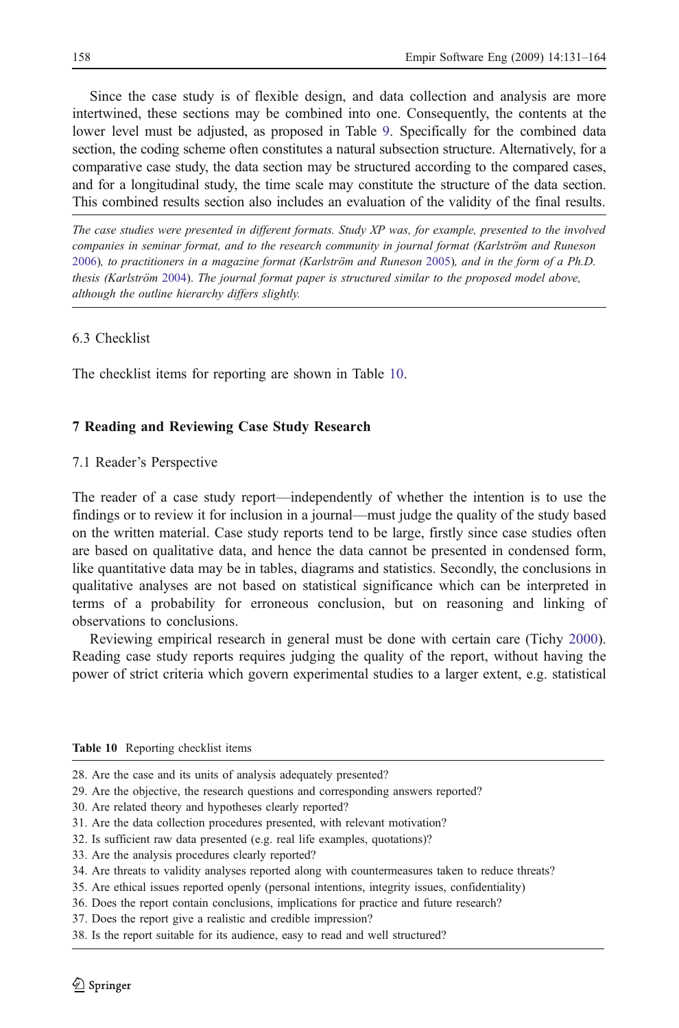<span id="page-27-0"></span>Since the case study is of flexible design, and data collection and analysis are more intertwined, these sections may be combined into one. Consequently, the contents at the lower level must be adjusted, as proposed in Table [9](#page-26-0). Specifically for the combined data section, the coding scheme often constitutes a natural subsection structure. Alternatively, for a comparative case study, the data section may be structured according to the compared cases, and for a longitudinal study, the time scale may constitute the structure of the data section. This combined results section also includes an evaluation of the validity of the final results.

The case studies were presented in different formats. Study XP was, for example, presented to the involved companies in seminar format, and to the research community in journal format (Karlström and Runeson [2006\)](#page-31-0), to practitioners in a magazine format (Karlström and Runeson [2005\)](#page-31-0), and in the form of a Ph.D. thesis (Karlström [2004\)](#page-31-0). The journal format paper is structured similar to the proposed model above, although the outline hierarchy differs slightly.

### 6.3 Checklist

The checklist items for reporting are shown in Table 10.

### 7 Reading and Reviewing Case Study Research

7.1 Reader's Perspective

The reader of a case study report—independently of whether the intention is to use the findings or to review it for inclusion in a journal—must judge the quality of the study based on the written material. Case study reports tend to be large, firstly since case studies often are based on qualitative data, and hence the data cannot be presented in condensed form, like quantitative data may be in tables, diagrams and statistics. Secondly, the conclusions in qualitative analyses are not based on statistical significance which can be interpreted in terms of a probability for erroneous conclusion, but on reasoning and linking of observations to conclusions.

Reviewing empirical research in general must be done with certain care (Tichy [2000](#page-32-0)). Reading case study reports requires judging the quality of the report, without having the power of strict criteria which govern experimental studies to a larger extent, e.g. statistical

#### Table 10 Reporting checklist items

- 28. Are the case and its units of analysis adequately presented?
- 29. Are the objective, the research questions and corresponding answers reported?
- 30. Are related theory and hypotheses clearly reported?
- 31. Are the data collection procedures presented, with relevant motivation?
- 32. Is sufficient raw data presented (e.g. real life examples, quotations)?
- 33. Are the analysis procedures clearly reported?
- 34. Are threats to validity analyses reported along with countermeasures taken to reduce threats?
- 35. Are ethical issues reported openly (personal intentions, integrity issues, confidentiality)
- 36. Does the report contain conclusions, implications for practice and future research?
- 37. Does the report give a realistic and credible impression?
- 38. Is the report suitable for its audience, easy to read and well structured?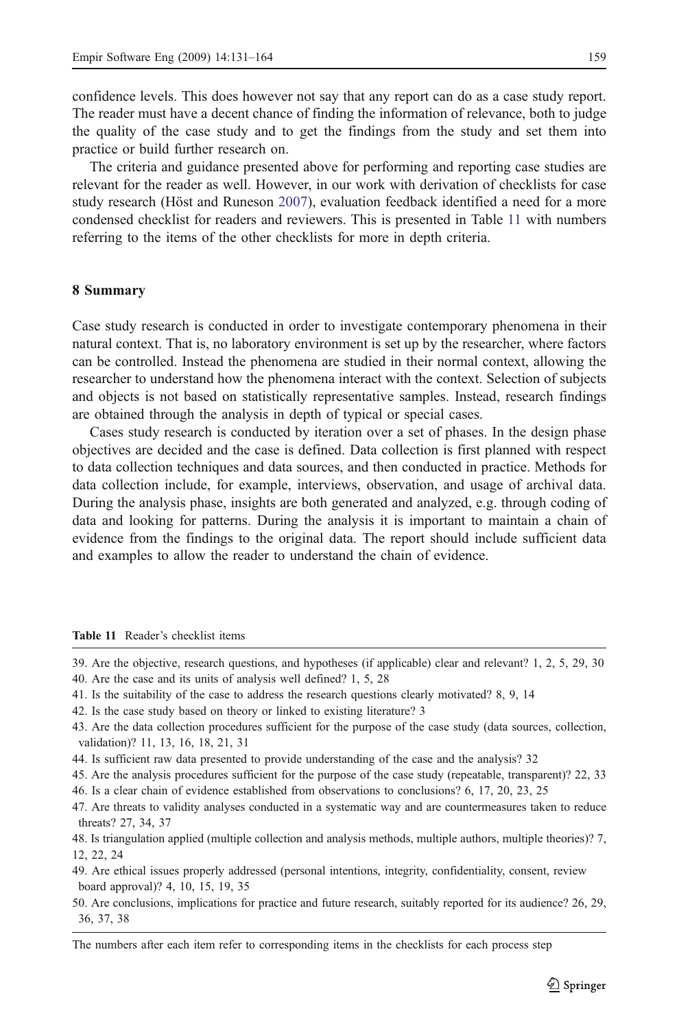<span id="page-28-0"></span>confidence levels. This does however not say that any report can do as a case study report. The reader must have a decent chance of finding the information of relevance, both to judge the quality of the case study and to get the findings from the study and set them into practice or build further research on.

The criteria and guidance presented above for performing and reporting case studies are relevant for the reader as well. However, in our work with derivation of checklists for case study research (Höst and Runeson [2007](#page-31-0)), evaluation feedback identified a need for a more condensed checklist for readers and reviewers. This is presented in Table 11 with numbers referring to the items of the other checklists for more in depth criteria.

#### 8 Summary

Case study research is conducted in order to investigate contemporary phenomena in their natural context. That is, no laboratory environment is set up by the researcher, where factors can be controlled. Instead the phenomena are studied in their normal context, allowing the researcher to understand how the phenomena interact with the context. Selection of subjects and objects is not based on statistically representative samples. Instead, research findings are obtained through the analysis in depth of typical or special cases.

Cases study research is conducted by iteration over a set of phases. In the design phase objectives are decided and the case is defined. Data collection is first planned with respect to data collection techniques and data sources, and then conducted in practice. Methods for data collection include, for example, interviews, observation, and usage of archival data. During the analysis phase, insights are both generated and analyzed, e.g. through coding of data and looking for patterns. During the analysis it is important to maintain a chain of evidence from the findings to the original data. The report should include sufficient data and examples to allow the reader to understand the chain of evidence.

Table 11 Reader's checklist items

- 39. Are the objective, research questions, and hypotheses (if applicable) clear and relevant? 1, 2, 5, 29, 30
- 40. Are the case and its units of analysis well defined? 1, 5, 28
- 41. Is the suitability of the case to address the research questions clearly motivated? 8, 9, 14
- 42. Is the case study based on theory or linked to existing literature? 3
- 43. Are the data collection procedures sufficient for the purpose of the case study (data sources, collection, validation)? 11, 13, 16, 18, 21, 31
- 44. Is sufficient raw data presented to provide understanding of the case and the analysis? 32
- 45. Are the analysis procedures sufficient for the purpose of the case study (repeatable, transparent)? 22, 33
- 46. Is a clear chain of evidence established from observations to conclusions? 6, 17, 20, 23, 25
- 47. Are threats to validity analyses conducted in a systematic way and are countermeasures taken to reduce threats? 27, 34, 37
- 48. Is triangulation applied (multiple collection and analysis methods, multiple authors, multiple theories)? 7, 12, 22, 24
- 49. Are ethical issues properly addressed (personal intentions, integrity, confidentiality, consent, review board approval)? 4, 10, 15, 19, 35
- 50. Are conclusions, implications for practice and future research, suitably reported for its audience? 26, 29, 36, 37, 38

The numbers after each item refer to corresponding items in the checklists for each process step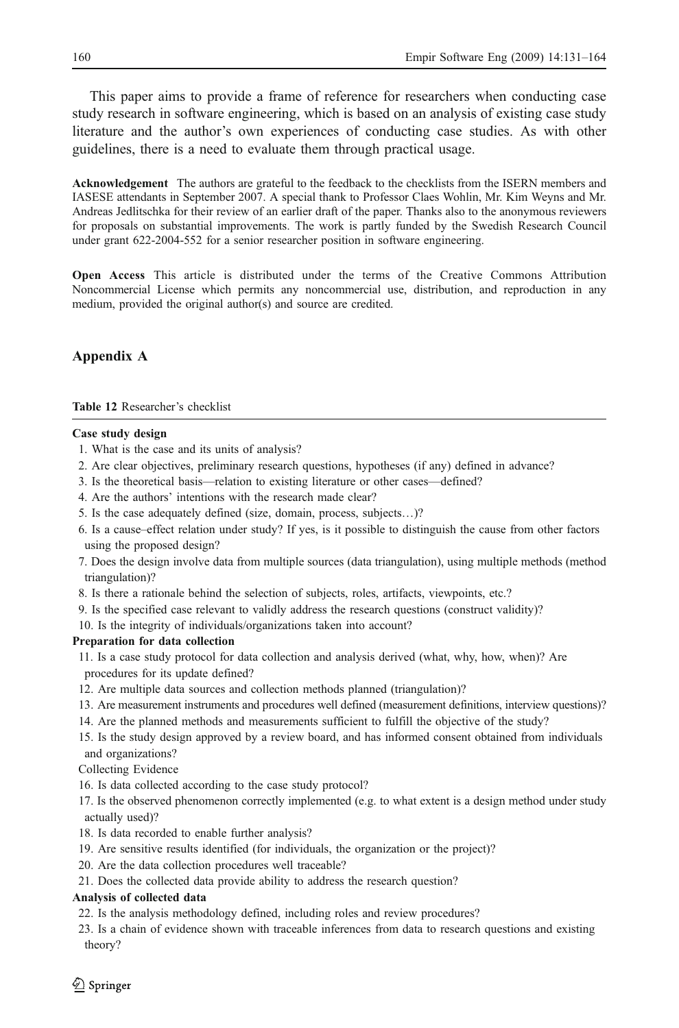<span id="page-29-0"></span>This paper aims to provide a frame of reference for researchers when conducting case study research in software engineering, which is based on an analysis of existing case study literature and the author's own experiences of conducting case studies. As with other guidelines, there is a need to evaluate them through practical usage.

Acknowledgement The authors are grateful to the feedback to the checklists from the ISERN members and IASESE attendants in September 2007. A special thank to Professor Claes Wohlin, Mr. Kim Weyns and Mr. Andreas Jedlitschka for their review of an earlier draft of the paper. Thanks also to the anonymous reviewers for proposals on substantial improvements. The work is partly funded by the Swedish Research Council under grant 622-2004-552 for a senior researcher position in software engineering.

Open Access This article is distributed under the terms of the Creative Commons Attribution Noncommercial License which permits any noncommercial use, distribution, and reproduction in any medium, provided the original author(s) and source are credited.

# Appendix A

# Table 12 Researcher's checklist

#### Case study design

- 1. What is the case and its units of analysis?
- 2. Are clear objectives, preliminary research questions, hypotheses (if any) defined in advance?
- 3. Is the theoretical basis—relation to existing literature or other cases—defined?
- 4. Are the authors' intentions with the research made clear?
- 5. Is the case adequately defined (size, domain, process, subjects…)?
- 6. Is a cause–effect relation under study? If yes, is it possible to distinguish the cause from other factors using the proposed design?
- 7. Does the design involve data from multiple sources (data triangulation), using multiple methods (method triangulation)?
- 8. Is there a rationale behind the selection of subjects, roles, artifacts, viewpoints, etc.?
- 9. Is the specified case relevant to validly address the research questions (construct validity)?

10. Is the integrity of individuals/organizations taken into account?

#### Preparation for data collection

- 11. Is a case study protocol for data collection and analysis derived (what, why, how, when)? Are procedures for its update defined?
- 12. Are multiple data sources and collection methods planned (triangulation)?
- 13. Are measurement instruments and procedures well defined (measurement definitions, interview questions)?
- 14. Are the planned methods and measurements sufficient to fulfill the objective of the study?
- 15. Is the study design approved by a review board, and has informed consent obtained from individuals and organizations?
- Collecting Evidence
- 16. Is data collected according to the case study protocol?
- 17. Is the observed phenomenon correctly implemented (e.g. to what extent is a design method under study actually used)?
- 18. Is data recorded to enable further analysis?
- 19. Are sensitive results identified (for individuals, the organization or the project)?
- 20. Are the data collection procedures well traceable?
- 21. Does the collected data provide ability to address the research question?

# Analysis of collected data

- 22. Is the analysis methodology defined, including roles and review procedures?
- 23. Is a chain of evidence shown with traceable inferences from data to research questions and existing theory?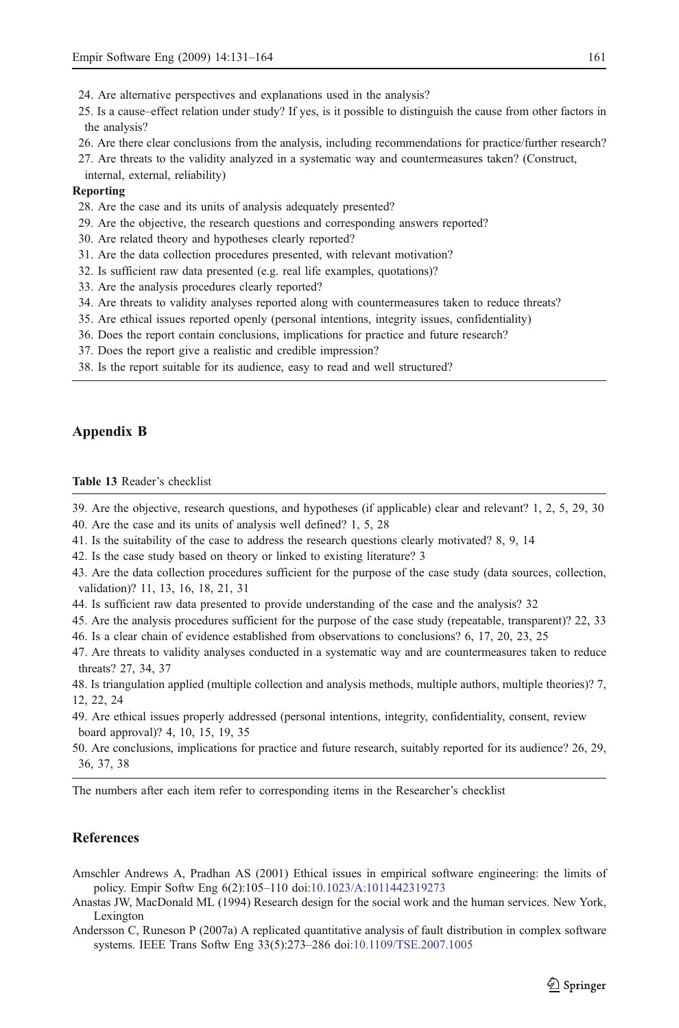- <span id="page-30-0"></span>24. Are alternative perspectives and explanations used in the analysis?
- 25. Is a cause–effect relation under study? If yes, is it possible to distinguish the cause from other factors in the analysis?
- 26. Are there clear conclusions from the analysis, including recommendations for practice/further research?
- 27. Are threats to the validity analyzed in a systematic way and countermeasures taken? (Construct,
- internal, external, reliability)

#### Reporting

- 28. Are the case and its units of analysis adequately presented?
- 29. Are the objective, the research questions and corresponding answers reported?
- 30. Are related theory and hypotheses clearly reported?
- 31. Are the data collection procedures presented, with relevant motivation?
- 32. Is sufficient raw data presented (e.g. real life examples, quotations)?
- 33. Are the analysis procedures clearly reported?
- 34. Are threats to validity analyses reported along with countermeasures taken to reduce threats?
- 35. Are ethical issues reported openly (personal intentions, integrity issues, confidentiality)
- 36. Does the report contain conclusions, implications for practice and future research?
- 37. Does the report give a realistic and credible impression?
- 38. Is the report suitable for its audience, easy to read and well structured?

# Appendix B

# Table 13 Reader's checklist

- 39. Are the objective, research questions, and hypotheses (if applicable) clear and relevant? 1, 2, 5, 29, 30 40. Are the case and its units of analysis well defined? 1, 5, 28
- 41. Is the suitability of the case to address the research questions clearly motivated? 8, 9, 14
- 42. Is the case study based on theory or linked to existing literature? 3
- 43. Are the data collection procedures sufficient for the purpose of the case study (data sources, collection, validation)? 11, 13, 16, 18, 21, 31
- 44. Is sufficient raw data presented to provide understanding of the case and the analysis? 32
- 45. Are the analysis procedures sufficient for the purpose of the case study (repeatable, transparent)? 22, 33
- 46. Is a clear chain of evidence established from observations to conclusions? 6, 17, 20, 23, 25
- 47. Are threats to validity analyses conducted in a systematic way and are countermeasures taken to reduce threats? 27, 34, 37
- 48. Is triangulation applied (multiple collection and analysis methods, multiple authors, multiple theories)? 7, 12, 22, 24
- 49. Are ethical issues properly addressed (personal intentions, integrity, confidentiality, consent, review board approval)? 4, 10, 15, 19, 35
- 50. Are conclusions, implications for practice and future research, suitably reported for its audience? 26, 29, 36, 37, 38

The numbers after each item refer to corresponding items in the Researcher's checklist

# **References**

- Amschler Andrews A, Pradhan AS (2001) Ethical issues in empirical software engineering: the limits of policy. Empir Softw Eng 6(2):105–110 doi[:10.1023/A:1011442319273](http://dx.doi.org/10.1023/A:1011442319273)
- Anastas JW, MacDonald ML (1994) Research design for the social work and the human services. New York, Lexington
- Andersson C, Runeson P (2007a) A replicated quantitative analysis of fault distribution in complex software systems. IEEE Trans Softw Eng 33(5):273–286 doi:[10.1109/TSE.2007.1005](http://dx.doi.org/10.1109/TSE.2007.1005)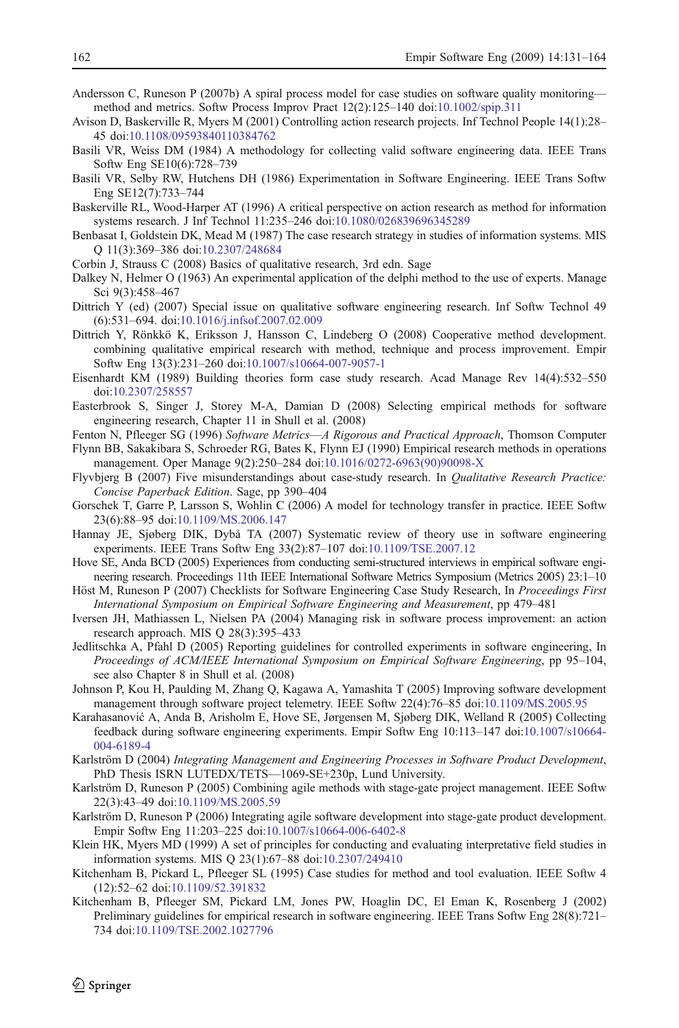- <span id="page-31-0"></span>Andersson C, Runeson P (2007b) A spiral process model for case studies on software quality monitoring method and metrics. Softw Process Improv Pract 12(2):125–140 doi[:10.1002/spip.311](http://dx.doi.org/10.1002/spip.311)
- Avison D, Baskerville R, Myers M (2001) Controlling action research projects. Inf Technol People 14(1):28– 45 doi:[10.1108/09593840110384762](http://dx.doi.org/10.1108/09593840110384762)
- Basili VR, Weiss DM (1984) A methodology for collecting valid software engineering data. IEEE Trans Softw Eng SE10(6):728–739
- Basili VR, Selby RW, Hutchens DH (1986) Experimentation in Software Engineering. IEEE Trans Softw Eng SE12(7):733–744
- Baskerville RL, Wood-Harper AT (1996) A critical perspective on action research as method for information systems research. J Inf Technol 11:235–246 doi:[10.1080/026839696345289](http://dx.doi.org/10.1080/026839696345289)
- Benbasat I, Goldstein DK, Mead M (1987) The case research strategy in studies of information systems. MIS Q 11(3):369–386 doi:[10.2307/248684](http://dx.doi.org/10.2307/248684)
- Corbin J, Strauss C (2008) Basics of qualitative research, 3rd edn. Sage
- Dalkey N, Helmer O (1963) An experimental application of the delphi method to the use of experts. Manage Sci 9(3):458–467
- Dittrich Y (ed) (2007) Special issue on qualitative software engineering research. Inf Softw Technol 49 (6):531–694. doi:[10.1016/j.infsof.2007.02.009](http://dx.doi.org/10.1016/j.infsof.2007.02.009)
- Dittrich Y, Rönkkö K, Eriksson J, Hansson C, Lindeberg O (2008) Cooperative method development. combining qualitative empirical research with method, technique and process improvement. Empir Softw Eng 13(3):231–260 doi[:10.1007/s10664-007-9057-1](http://dx.doi.org/10.1007/s10664-007-9057-1)
- Eisenhardt KM (1989) Building theories form case study research. Acad Manage Rev 14(4):532–550 doi:[10.2307/258557](http://dx.doi.org/10.2307/258557)
- Easterbrook S, Singer J, Storey M-A, Damian D (2008) Selecting empirical methods for software engineering research, Chapter 11 in Shull et al. (2008)
- Fenton N, Pfleeger SG (1996) Software Metrics—A Rigorous and Practical Approach, Thomson Computer
- Flynn BB, Sakakibara S, Schroeder RG, Bates K, Flynn EJ (1990) Empirical research methods in operations management. Oper Manage 9(2):250–284 doi:[10.1016/0272-6963\(90\)90098-X](http://dx.doi.org/10.1016/0272-6963(90)90098-X)
- Flyvbjerg B (2007) Five misunderstandings about case-study research. In Qualitative Research Practice: Concise Paperback Edition. Sage, pp 390–404
- Gorschek T, Garre P, Larsson S, Wohlin C (2006) A model for technology transfer in practice. IEEE Softw 23(6):88–95 doi:[10.1109/MS.2006.147](http://dx.doi.org/10.1109/MS.2006.147)
- Hannay JE, Sjøberg DIK, Dybå TA (2007) Systematic review of theory use in software engineering experiments. IEEE Trans Softw Eng 33(2):87–107 doi[:10.1109/TSE.2007.12](http://dx.doi.org/10.1109/TSE.2007.12)
- Hove SE, Anda BCD (2005) Experiences from conducting semi-structured interviews in empirical software engineering research. Proceedings 11th IEEE International Software Metrics Symposium (Metrics 2005) 23:1–10
- Höst M, Runeson P (2007) Checklists for Software Engineering Case Study Research, In Proceedings First International Symposium on Empirical Software Engineering and Measurement, pp 479–481
- Iversen JH, Mathiassen L, Nielsen PA (2004) Managing risk in software process improvement: an action research approach. MIS Q 28(3):395–433
- Jedlitschka A, Pfahl D (2005) Reporting guidelines for controlled experiments in software engineering, In Proceedings of ACM/IEEE International Symposium on Empirical Software Engineering, pp 95–104, see also Chapter 8 in Shull et al. (2008)
- Johnson P, Kou H, Paulding M, Zhang Q, Kagawa A, Yamashita T (2005) Improving software development management through software project telemetry. IEEE Softw 22(4):76–85 doi[:10.1109/MS.2005.95](http://dx.doi.org/10.1109/MS.2005.95)
- Karahasanović A, Anda B, Arisholm E, Hove SE, Jørgensen M, Sjøberg DIK, Welland R (2005) Collecting feedback during software engineering experiments. Empir Softw Eng 10:113–147 doi[:10.1007/s10664-](http://dx.doi.org/10.1007/s10664-004-6189-4) [004-6189-4](http://dx.doi.org/10.1007/s10664-004-6189-4)
- Karlström D (2004) Integrating Management and Engineering Processes in Software Product Development, PhD Thesis ISRN LUTEDX/TETS—1069-SE+230p, Lund University.
- Karlström D, Runeson P (2005) Combining agile methods with stage-gate project management. IEEE Softw 22(3):43–49 doi:[10.1109/MS.2005.59](http://dx.doi.org/10.1109/MS.2005.59)
- Karlström D, Runeson P (2006) Integrating agile software development into stage-gate product development. Empir Softw Eng 11:203–225 doi[:10.1007/s10664-006-6402-8](http://dx.doi.org/10.1007/s10664-006-6402-8)
- Klein HK, Myers MD (1999) A set of principles for conducting and evaluating interpretative field studies in information systems. MIS Q 23(1):67–88 doi:[10.2307/249410](http://dx.doi.org/10.2307/249410)
- Kitchenham B, Pickard L, Pfleeger SL (1995) Case studies for method and tool evaluation. IEEE Softw 4 (12):52–62 doi:[10.1109/52.391832](http://dx.doi.org/10.1109/52.391832)
- Kitchenham B, Pfleeger SM, Pickard LM, Jones PW, Hoaglin DC, El Eman K, Rosenberg J (2002) Preliminary guidelines for empirical research in software engineering. IEEE Trans Softw Eng 28(8):721– 734 doi:[10.1109/TSE.2002.1027796](http://dx.doi.org/10.1109/TSE.2002.1027796)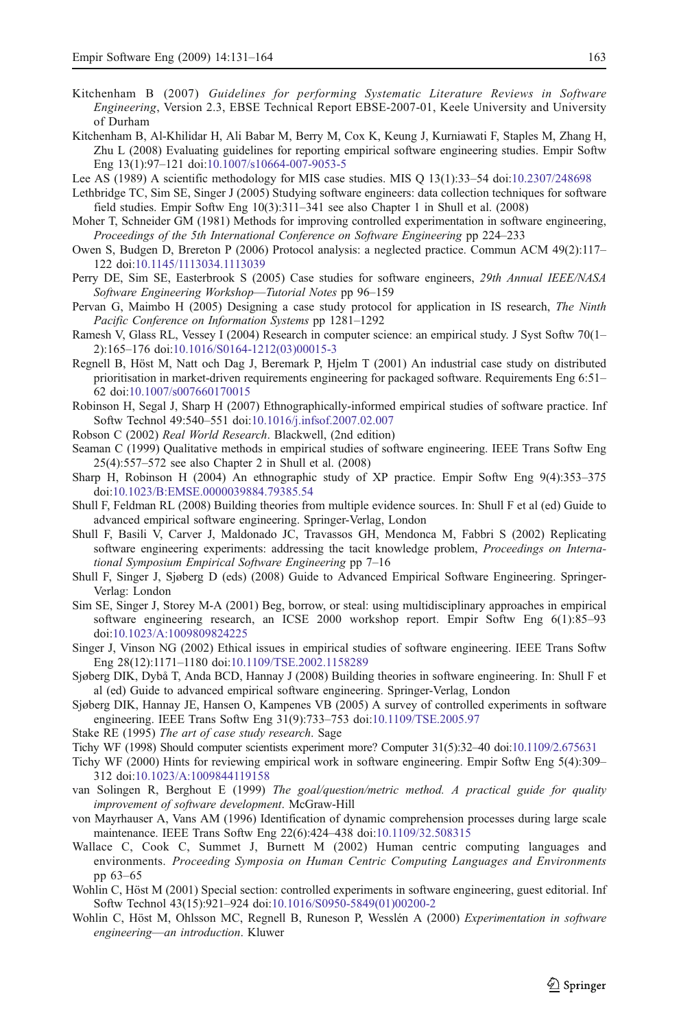- <span id="page-32-0"></span>Kitchenham B (2007) Guidelines for performing Systematic Literature Reviews in Software Engineering, Version 2.3, EBSE Technical Report EBSE-2007-01, Keele University and University of Durham
- Kitchenham B, Al-Khilidar H, Ali Babar M, Berry M, Cox K, Keung J, Kurniawati F, Staples M, Zhang H, Zhu L (2008) Evaluating guidelines for reporting empirical software engineering studies. Empir Softw Eng 13(1):97–121 doi[:10.1007/s10664-007-9053-5](http://dx.doi.org/10.1007/s10664-007-9053-5)
- Lee AS (1989) A scientific methodology for MIS case studies. MIS Q 13(1):33–54 doi[:10.2307/248698](http://dx.doi.org/10.2307/248698)
- Lethbridge TC, Sim SE, Singer J (2005) Studying software engineers: data collection techniques for software field studies. Empir Softw Eng 10(3):311–341 see also Chapter 1 in Shull et al. (2008)
- Moher T, Schneider GM (1981) Methods for improving controlled experimentation in software engineering, Proceedings of the 5th International Conference on Software Engineering pp 224–233
- Owen S, Budgen D, Brereton P (2006) Protocol analysis: a neglected practice. Commun ACM 49(2):117– 122 doi:[10.1145/1113034.1113039](http://dx.doi.org/10.1145/1113034.1113039)
- Perry DE, Sim SE, Easterbrook S (2005) Case studies for software engineers, 29th Annual IEEE/NASA Software Engineering Workshop—Tutorial Notes pp 96–159
- Pervan G, Maimbo H (2005) Designing a case study protocol for application in IS research, The Ninth Pacific Conference on Information Systems pp 1281–1292
- Ramesh V, Glass RL, Vessey I (2004) Research in computer science: an empirical study. J Syst Softw 70(1– 2):165–176 doi[:10.1016/S0164-1212\(03\)00015-3](http://dx.doi.org/10.1016/S0164-1212(03)00015-3)
- Regnell B, Höst M, Natt och Dag J, Beremark P, Hjelm T (2001) An industrial case study on distributed prioritisation in market-driven requirements engineering for packaged software. Requirements Eng 6:51– 62 doi:[10.1007/s007660170015](http://dx.doi.org/10.1007/s007660170015)
- Robinson H, Segal J, Sharp H (2007) Ethnographically-informed empirical studies of software practice. Inf Softw Technol 49:540–551 doi:[10.1016/j.infsof.2007.02.007](http://dx.doi.org/10.1016/j.infsof.2007.02.007)
- Robson C (2002) Real World Research. Blackwell, (2nd edition)
- Seaman C (1999) Qualitative methods in empirical studies of software engineering. IEEE Trans Softw Eng 25(4):557–572 see also Chapter 2 in Shull et al. (2008)
- Sharp H, Robinson H (2004) An ethnographic study of XP practice. Empir Softw Eng 9(4):353–375 doi:[10.1023/B:EMSE.0000039884.79385.54](http://dx.doi.org/10.1023/B:EMSE.0000039884.79385.54)
- Shull F, Feldman RL (2008) Building theories from multiple evidence sources. In: Shull F et al (ed) Guide to advanced empirical software engineering. Springer-Verlag, London
- Shull F, Basili V, Carver J, Maldonado JC, Travassos GH, Mendonca M, Fabbri S (2002) Replicating software engineering experiments: addressing the tacit knowledge problem, Proceedings on International Symposium Empirical Software Engineering pp 7–16
- Shull F, Singer J, Sjøberg D (eds) (2008) Guide to Advanced Empirical Software Engineering. Springer-Verlag: London
- Sim SE, Singer J, Storey M-A (2001) Beg, borrow, or steal: using multidisciplinary approaches in empirical software engineering research, an ICSE 2000 workshop report. Empir Softw Eng 6(1):85–93 doi:[10.1023/A:1009809824225](http://dx.doi.org/10.1023/A:1009809824225)
- Singer J, Vinson NG (2002) Ethical issues in empirical studies of software engineering. IEEE Trans Softw Eng 28(12):1171–1180 doi[:10.1109/TSE.2002.1158289](http://dx.doi.org/10.1109/TSE.2002.1158289)
- Sjøberg DIK, Dybå T, Anda BCD, Hannay J (2008) Building theories in software engineering. In: Shull F et al (ed) Guide to advanced empirical software engineering. Springer-Verlag, London
- Sjøberg DIK, Hannay JE, Hansen O, Kampenes VB (2005) A survey of controlled experiments in software engineering. IEEE Trans Softw Eng 31(9):733–753 doi[:10.1109/TSE.2005.97](http://dx.doi.org/10.1109/TSE.2005.97)
- Stake RE (1995) The art of case study research. Sage
- Tichy WF (1998) Should computer scientists experiment more? Computer 31(5):32–40 doi:[10.1109/2.675631](http://dx.doi.org/10.1109/2.675631)
- Tichy WF (2000) Hints for reviewing empirical work in software engineering. Empir Softw Eng 5(4):309– 312 doi:[10.1023/A:1009844119158](http://dx.doi.org/10.1023/A:1009844119158)
- van Solingen R, Berghout E (1999) The goal/question/metric method. A practical guide for quality improvement of software development. McGraw-Hill
- von Mayrhauser A, Vans AM (1996) Identification of dynamic comprehension processes during large scale maintenance. IEEE Trans Softw Eng 22(6):424–438 doi:[10.1109/32.508315](http://dx.doi.org/10.1109/32.508315)
- Wallace C, Cook C, Summet J, Burnett M (2002) Human centric computing languages and environments. Proceeding Symposia on Human Centric Computing Languages and Environments pp 63–65
- Wohlin C, Höst M (2001) Special section: controlled experiments in software engineering, guest editorial. Inf Softw Technol 43(15):921–924 doi[:10.1016/S0950-5849\(01\)00200-2](http://dx.doi.org/10.1016/S0950-5849(01)00200-2)
- Wohlin C, Höst M, Ohlsson MC, Regnell B, Runeson P, Wesslén A (2000) Experimentation in software engineering—an introduction. Kluwer